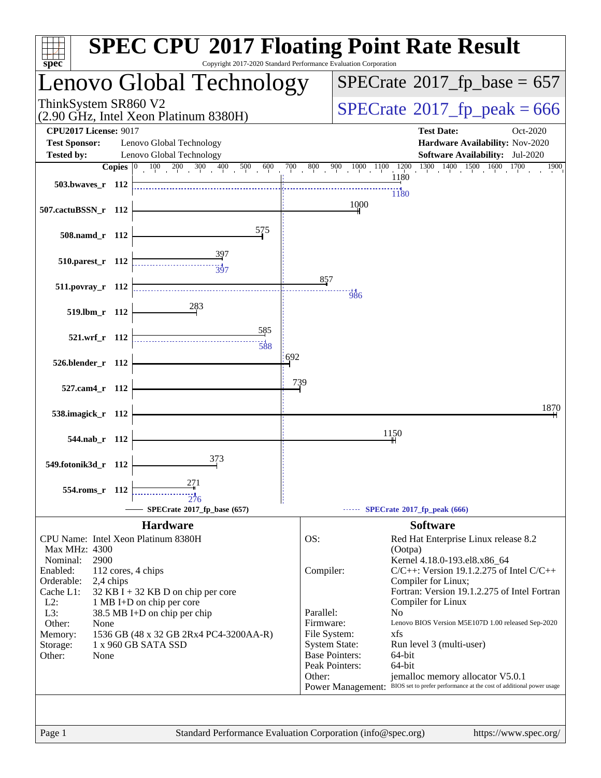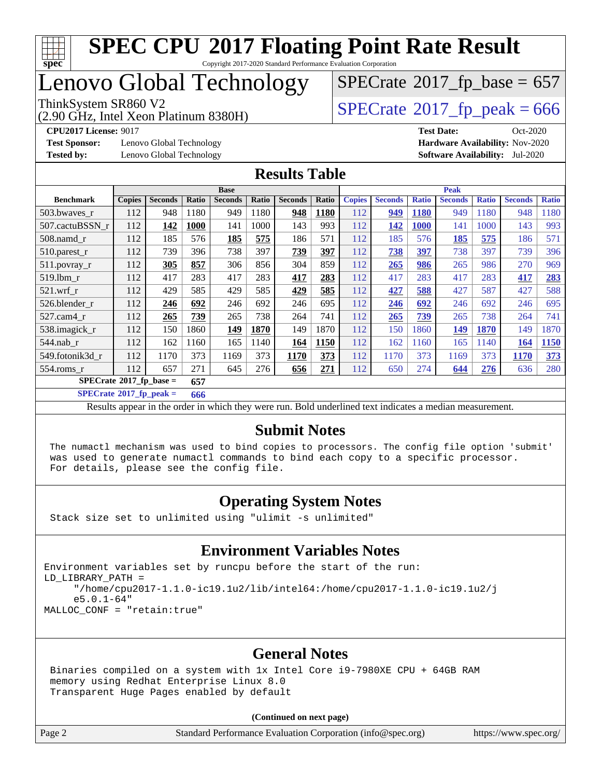

Copyright 2017-2020 Standard Performance Evaluation Corporation

## Lenovo Global Technology

(2.90 GHz, Intel Xeon Platinum 8380H)

ThinkSystem SR860 V2<br>(2.90 GHz, Intel Xeon Platinum 8380H)  $SPECrate@2017_fp\_peak = 666$  $SPECrate@2017_fp\_peak = 666$  $SPECTate$ <sup>®</sup>[2017\\_fp\\_base =](http://www.spec.org/auto/cpu2017/Docs/result-fields.html#SPECrate2017fpbase) 657

**[Test Sponsor:](http://www.spec.org/auto/cpu2017/Docs/result-fields.html#TestSponsor)** Lenovo Global Technology **[Hardware Availability:](http://www.spec.org/auto/cpu2017/Docs/result-fields.html#HardwareAvailability)** Nov-2020

**[CPU2017 License:](http://www.spec.org/auto/cpu2017/Docs/result-fields.html#CPU2017License)** 9017 **[Test Date:](http://www.spec.org/auto/cpu2017/Docs/result-fields.html#TestDate)** Oct-2020 **[Tested by:](http://www.spec.org/auto/cpu2017/Docs/result-fields.html#Testedby)** Lenovo Global Technology **[Software Availability:](http://www.spec.org/auto/cpu2017/Docs/result-fields.html#SoftwareAvailability)** Jul-2020

#### **[Results Table](http://www.spec.org/auto/cpu2017/Docs/result-fields.html#ResultsTable)**

|                                         |               |                |       | <b>Base</b>    |       |                |       | <b>Peak</b>   |                |              |                |              |                |              |
|-----------------------------------------|---------------|----------------|-------|----------------|-------|----------------|-------|---------------|----------------|--------------|----------------|--------------|----------------|--------------|
| <b>Benchmark</b>                        | <b>Copies</b> | <b>Seconds</b> | Ratio | <b>Seconds</b> | Ratio | <b>Seconds</b> | Ratio | <b>Copies</b> | <b>Seconds</b> | <b>Ratio</b> | <b>Seconds</b> | <b>Ratio</b> | <b>Seconds</b> | <b>Ratio</b> |
| 503.bwaves r                            | 112           | 948            | 1180  | 949            | 1180  | 948            | 1180  | 112           | 949            | <b>1180</b>  | 949            | 1180         | 948            | 1180         |
| 507.cactuBSSN r                         | 112           | 142            | 1000  | 141            | 1000  | 143            | 993   | 112           | 142            | 1000         | 141            | 1000         | 143            | 993          |
| $508$ .namd $r$                         | 112           | 185            | 576   | 185            | 575   | 186            | 571   | 112           | 185            | 576          | 185            | 575          | 186            | 571          |
| 510.parest_r                            | 112           | 739            | 396   | 738            | 397   | 739            | 397   | 112           | 738            | 397          | 738            | 397          | 739            | 396          |
| 511.povray_r                            | 112           | 305            | 857   | 306            | 856   | 304            | 859   | 112           | 265            | 986          | 265            | 986          | 270            | 969          |
| $519$ .lbm $r$                          | 112           | 417            | 283   | 417            | 283   | 417            | 283   | 112           | 417            | 283          | 417            | 283          | 417            | 283          |
| $521$ .wrf r                            | 112           | 429            | 585   | 429            | 585   | 429            | 585   | 112           | 427            | 588          | 427            | 587          | 427            | 588          |
| 526.blender r                           | 112           | 246            | 692   | 246            | 692   | 246            | 695   | 112           | 246            | 692          | 246            | 692          | 246            | 695          |
| $527.cam4_r$                            | 112           | 265            | 739   | 265            | 738   | 264            | 741   | 112           | 265            | 739          | 265            | 738          | 264            | 741          |
| 538.imagick_r                           | 112           | 150            | 1860  | <u>149</u>     | 1870  | 149            | 1870  | 112           | 150            | 1860         | <b>149</b>     | 1870         | 149            | 1870         |
| 544.nab r                               | 112           | 162            | 1160  | 165            | 1140  | 164            | 1150  | 112           | 162            | 1160         | 165            | 1140         | 164            | 1150         |
| 549.fotonik3d r                         | 112           | 1170           | 373   | 1169           | 373   | 1170           | 373   | 112           | 1170           | 373          | 1169           | 373          | 1170           | 373          |
| $554$ .roms r                           | 112           | 657            | 271   | 645            | 276   | 656            | 271   | 112           | 650            | 274          | 644            | 276          | 636            | 280          |
| $SPECrate^{\circ}2017$ fp base =<br>657 |               |                |       |                |       |                |       |               |                |              |                |              |                |              |

**[SPECrate](http://www.spec.org/auto/cpu2017/Docs/result-fields.html#SPECrate2017fppeak)[2017\\_fp\\_peak =](http://www.spec.org/auto/cpu2017/Docs/result-fields.html#SPECrate2017fppeak) 666**

Results appear in the [order in which they were run](http://www.spec.org/auto/cpu2017/Docs/result-fields.html#RunOrder). Bold underlined text [indicates a median measurement](http://www.spec.org/auto/cpu2017/Docs/result-fields.html#Median).

#### **[Submit Notes](http://www.spec.org/auto/cpu2017/Docs/result-fields.html#SubmitNotes)**

 The numactl mechanism was used to bind copies to processors. The config file option 'submit' was used to generate numactl commands to bind each copy to a specific processor. For details, please see the config file.

#### **[Operating System Notes](http://www.spec.org/auto/cpu2017/Docs/result-fields.html#OperatingSystemNotes)**

Stack size set to unlimited using "ulimit -s unlimited"

#### **[Environment Variables Notes](http://www.spec.org/auto/cpu2017/Docs/result-fields.html#EnvironmentVariablesNotes)**

Environment variables set by runcpu before the start of the run: LD\_LIBRARY\_PATH = "/home/cpu2017-1.1.0-ic19.1u2/lib/intel64:/home/cpu2017-1.1.0-ic19.1u2/j e5.0.1-64" MALLOC\_CONF = "retain:true"

#### **[General Notes](http://www.spec.org/auto/cpu2017/Docs/result-fields.html#GeneralNotes)**

 Binaries compiled on a system with 1x Intel Core i9-7980XE CPU + 64GB RAM memory using Redhat Enterprise Linux 8.0 Transparent Huge Pages enabled by default

#### **(Continued on next page)**

Page 2 Standard Performance Evaluation Corporation [\(info@spec.org\)](mailto:info@spec.org) <https://www.spec.org/>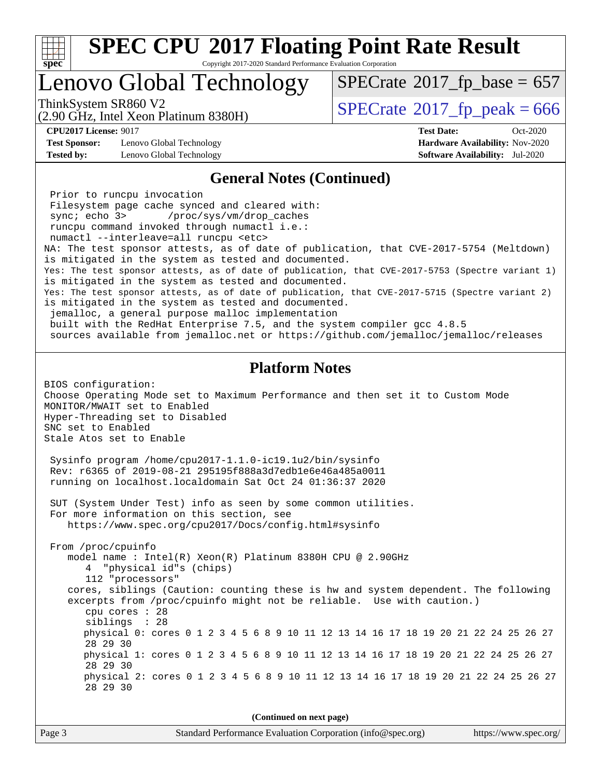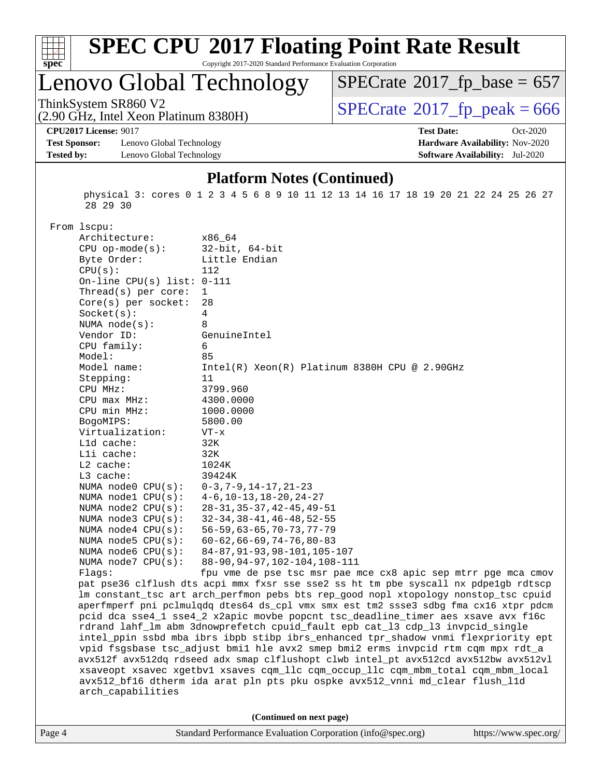

Copyright 2017-2020 Standard Performance Evaluation Corporation

# Lenovo Global Technology

ThinkSystem SR860 V2<br>(2.90 GHz, Intel Xeon Platinum 8380H)  $\text{SPECrate}$  $\text{SPECrate}$  $\text{SPECrate}$ <sup>®</sup>[2017\\_fp\\_peak = 6](http://www.spec.org/auto/cpu2017/Docs/result-fields.html#SPECrate2017fppeak)66  $SPECrate$ <sup>®</sup>[2017\\_fp\\_base =](http://www.spec.org/auto/cpu2017/Docs/result-fields.html#SPECrate2017fpbase) 657

(2.90 GHz, Intel Xeon Platinum 8380H)

**[Test Sponsor:](http://www.spec.org/auto/cpu2017/Docs/result-fields.html#TestSponsor)** Lenovo Global Technology **[Hardware Availability:](http://www.spec.org/auto/cpu2017/Docs/result-fields.html#HardwareAvailability)** Nov-2020 **[Tested by:](http://www.spec.org/auto/cpu2017/Docs/result-fields.html#Testedby)** Lenovo Global Technology **[Software Availability:](http://www.spec.org/auto/cpu2017/Docs/result-fields.html#SoftwareAvailability)** Jul-2020

# **[CPU2017 License:](http://www.spec.org/auto/cpu2017/Docs/result-fields.html#CPU2017License)** 9017 **[Test Date:](http://www.spec.org/auto/cpu2017/Docs/result-fields.html#TestDate)** Oct-2020

**[Platform Notes \(Continued\)](http://www.spec.org/auto/cpu2017/Docs/result-fields.html#PlatformNotes)**

 physical 3: cores 0 1 2 3 4 5 6 8 9 10 11 12 13 14 16 17 18 19 20 21 22 24 25 26 27 28 29 30

From lscpu:

| Architecture:                | x86_64                                                                               |
|------------------------------|--------------------------------------------------------------------------------------|
| $CPU$ op-mode( $s$ ):        | $32$ -bit, $64$ -bit                                                                 |
| Byte Order:                  | Little Endian                                                                        |
| CPU(s):                      | 112                                                                                  |
| On-line CPU(s) list: $0-111$ |                                                                                      |
| Thread( $s$ ) per core:      | $\mathbf{1}$                                                                         |
| Core(s) per socket:          | 28                                                                                   |
| Socket(s):                   | 4                                                                                    |
| NUMA $node(s):$              | 8                                                                                    |
| Vendor ID:                   | GenuineIntel                                                                         |
| CPU family:                  | 6                                                                                    |
| Model:                       | 85                                                                                   |
| Model name:                  | $Intel(R)$ Xeon(R) Platinum 8380H CPU @ 2.90GHz                                      |
| Stepping:                    | 11                                                                                   |
| CPU MHz:                     | 3799.960                                                                             |
| CPU max MHz:                 | 4300.0000                                                                            |
| CPU min MHz:                 | 1000.0000                                                                            |
| BogoMIPS:                    | 5800.00                                                                              |
| Virtualization:              | $VT - x$                                                                             |
| L1d cache:                   | 32K                                                                                  |
| Lli cache:                   | 32K                                                                                  |
| $L2$ cache:                  | 1024K                                                                                |
| L3 cache:                    | 39424K                                                                               |
| NUMA node0 CPU(s):           | $0-3, 7-9, 14-17, 21-23$                                                             |
| NUMA nodel $CPU(s)$ :        | $4-6$ , $10-13$ , $18-20$ , $24-27$                                                  |
| NUMA node2 CPU(s):           | $28 - 31, 35 - 37, 42 - 45, 49 - 51$                                                 |
| NUMA node3 CPU(s):           | $32 - 34, 38 - 41, 46 - 48, 52 - 55$                                                 |
| NUMA $node4$ $CPU(s)$ :      | $56 - 59, 63 - 65, 70 - 73, 77 - 79$                                                 |
| NUMA $node5$ CPU $(s)$ :     | $60 - 62, 66 - 69, 74 - 76, 80 - 83$                                                 |
| NUMA node6 CPU(s):           | 84-87, 91-93, 98-101, 105-107                                                        |
| NUMA node7 CPU(s):           | 88-90, 94-97, 102-104, 108-111                                                       |
| Flags:                       | fpu vme de pse tsc msr pae mce cx8 apic sep mtrr pge mca cmov                        |
|                              | pat pse36 clflush dts acpi mmx fxsr sse sse2 ss ht tm pbe syscall nx pdpelgb rdtscp  |
|                              | lm constant_tsc art arch_perfmon pebs bts rep_good nopl xtopology nonstop_tsc cpuid  |
|                              | aperfmperf pni pclmulqdq dtes64 ds_cpl vmx smx est tm2 ssse3 sdbg fma cx16 xtpr pdcm |
|                              | pcid dca sse4_1 sse4_2 x2apic movbe popcnt tsc_deadline_timer aes xsave avx f16c     |
|                              | rdrand lahf_lm abm 3dnowprefetch cpuid_fault epb cat_13 cdp_13 invpcid_single        |
|                              | intel_ppin ssbd mba ibrs ibpb stibp ibrs_enhanced tpr_shadow vnmi flexpriority ept   |
|                              | vpid fsgsbase tsc_adjust bmil hle avx2 smep bmi2 erms invpcid rtm cqm mpx rdt_a      |
|                              | avx512f avx512dq rdseed adx smap clflushopt clwb intel_pt avx512cd avx512bw avx512vl |
|                              | xsaveopt xsavec xgetbvl xsaves cqm_llc cqm_occup_llc cqm_mbm_total cqm_mbm_local     |
|                              | avx512_bf16 dtherm ida arat pln pts pku ospke avx512_vnni md_clear flush_l1d         |
| arch_capabilities            |                                                                                      |
|                              |                                                                                      |
|                              | (Continued on next page)                                                             |
|                              |                                                                                      |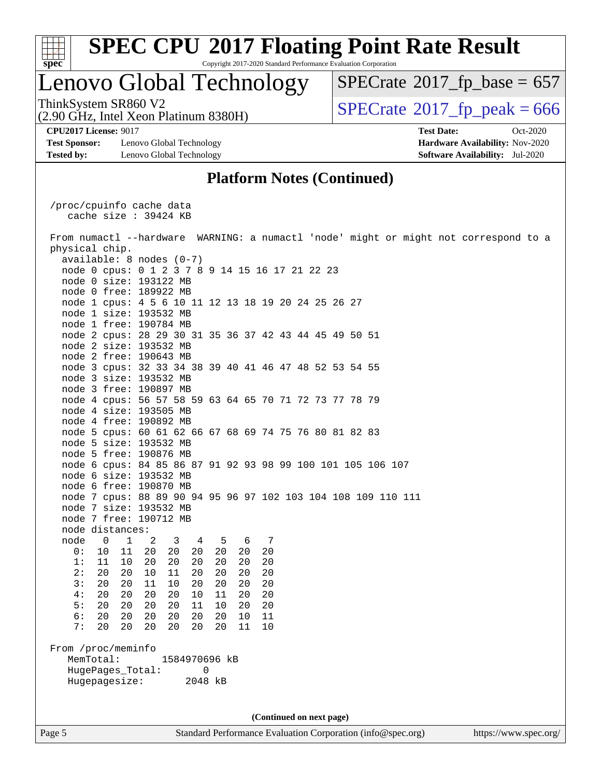

Copyright 2017-2020 Standard Performance Evaluation Corporation

### Lenovo Global Technology

ThinkSystem SR860 V2<br>(2.90 GHz, Intel Xeon Platinum 8380H)  $SPECrate@2017_fp\_peak = 666$  $SPECrate@2017_fp\_peak = 666$ 

 $SPECTate$ <sup>®</sup>[2017\\_fp\\_base =](http://www.spec.org/auto/cpu2017/Docs/result-fields.html#SPECrate2017fpbase) 657

**[Test Sponsor:](http://www.spec.org/auto/cpu2017/Docs/result-fields.html#TestSponsor)** Lenovo Global Technology **[Hardware Availability:](http://www.spec.org/auto/cpu2017/Docs/result-fields.html#HardwareAvailability)** Nov-2020 **[Tested by:](http://www.spec.org/auto/cpu2017/Docs/result-fields.html#Testedby)** Lenovo Global Technology **[Software Availability:](http://www.spec.org/auto/cpu2017/Docs/result-fields.html#SoftwareAvailability)** Jul-2020

(2.90 GHz, Intel Xeon Platinum 8380H)

**[CPU2017 License:](http://www.spec.org/auto/cpu2017/Docs/result-fields.html#CPU2017License)** 9017 **[Test Date:](http://www.spec.org/auto/cpu2017/Docs/result-fields.html#TestDate)** Oct-2020

#### **[Platform Notes \(Continued\)](http://www.spec.org/auto/cpu2017/Docs/result-fields.html#PlatformNotes)**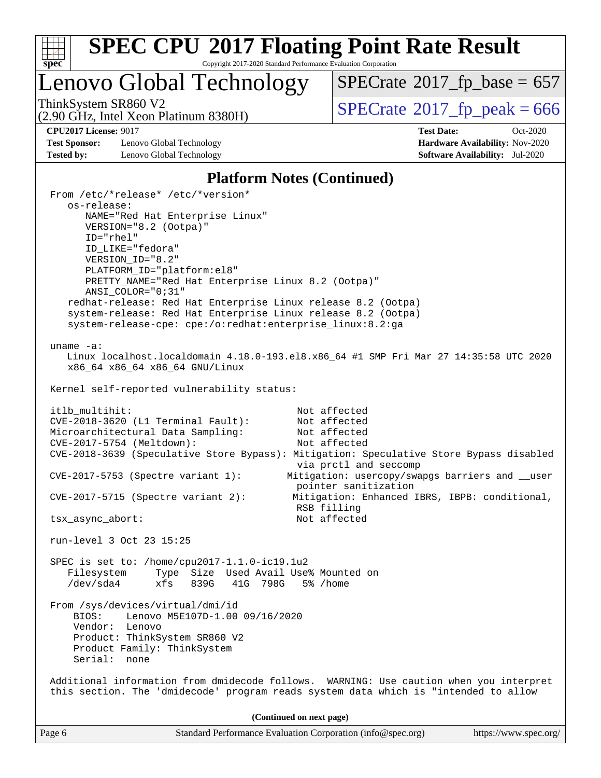

Copyright 2017-2020 Standard Performance Evaluation Corporation

### Lenovo Global Technology

 $SPECrate$ <sup>®</sup>[2017\\_fp\\_base =](http://www.spec.org/auto/cpu2017/Docs/result-fields.html#SPECrate2017fpbase) 657

(2.90 GHz, Intel Xeon Platinum 8380H) ThinkSystem SR860 V2<br>(2.90 GHz, Intel Xeon Platinum 8380H)  $\qquad$  [SPECrate](http://www.spec.org/auto/cpu2017/Docs/result-fields.html#SPECrate2017fppeak)®[2017\\_fp\\_peak = 6](http://www.spec.org/auto/cpu2017/Docs/result-fields.html#SPECrate2017fppeak)66

**[Test Sponsor:](http://www.spec.org/auto/cpu2017/Docs/result-fields.html#TestSponsor)** Lenovo Global Technology **[Hardware Availability:](http://www.spec.org/auto/cpu2017/Docs/result-fields.html#HardwareAvailability)** Nov-2020 **[Tested by:](http://www.spec.org/auto/cpu2017/Docs/result-fields.html#Testedby)** Lenovo Global Technology **[Software Availability:](http://www.spec.org/auto/cpu2017/Docs/result-fields.html#SoftwareAvailability)** Jul-2020

**[CPU2017 License:](http://www.spec.org/auto/cpu2017/Docs/result-fields.html#CPU2017License)** 9017 **[Test Date:](http://www.spec.org/auto/cpu2017/Docs/result-fields.html#TestDate)** Oct-2020

#### **[Platform Notes \(Continued\)](http://www.spec.org/auto/cpu2017/Docs/result-fields.html#PlatformNotes)**

| From /etc/*release* /etc/*version*<br>os-release:                                 |                                                                                         |
|-----------------------------------------------------------------------------------|-----------------------------------------------------------------------------------------|
| NAME="Red Hat Enterprise Linux"                                                   |                                                                                         |
| VERSION="8.2 (Ootpa)"                                                             |                                                                                         |
| $ID="rhe1"$                                                                       |                                                                                         |
| ID_LIKE="fedora"                                                                  |                                                                                         |
| VERSION_ID="8.2"                                                                  |                                                                                         |
| PLATFORM_ID="platform:el8"                                                        |                                                                                         |
| PRETTY_NAME="Red Hat Enterprise Linux 8.2 (Ootpa)"                                |                                                                                         |
| ANSI COLOR="0;31"<br>redhat-release: Red Hat Enterprise Linux release 8.2 (Ootpa) |                                                                                         |
| system-release: Red Hat Enterprise Linux release 8.2 (Ootpa)                      |                                                                                         |
| system-release-cpe: cpe:/o:redhat:enterprise_linux:8.2:ga                         |                                                                                         |
|                                                                                   |                                                                                         |
| uname $-a$ :                                                                      |                                                                                         |
|                                                                                   | Linux localhost.localdomain 4.18.0-193.el8.x86_64 #1 SMP Fri Mar 27 14:35:58 UTC 2020   |
| x86_64 x86_64 x86_64 GNU/Linux                                                    |                                                                                         |
| Kernel self-reported vulnerability status:                                        |                                                                                         |
|                                                                                   |                                                                                         |
| itlb_multihit:                                                                    | Not affected                                                                            |
| CVE-2018-3620 (L1 Terminal Fault):                                                | Not affected                                                                            |
| Microarchitectural Data Sampling:                                                 | Not affected                                                                            |
| CVE-2017-5754 (Meltdown):                                                         | Not affected                                                                            |
|                                                                                   | CVE-2018-3639 (Speculative Store Bypass): Mitigation: Speculative Store Bypass disabled |
| $CVE-2017-5753$ (Spectre variant 1):                                              | via prctl and seccomp<br>Mitigation: usercopy/swapgs barriers and __user                |
|                                                                                   | pointer sanitization                                                                    |
| $CVE-2017-5715$ (Spectre variant 2):                                              | Mitigation: Enhanced IBRS, IBPB: conditional,                                           |
|                                                                                   | RSB filling                                                                             |
| tsx_async_abort:                                                                  | Not affected                                                                            |
|                                                                                   |                                                                                         |
| run-level 3 Oct 23 15:25                                                          |                                                                                         |
| SPEC is set to: /home/cpu2017-1.1.0-ic19.1u2                                      |                                                                                         |
| Type Size Used Avail Use% Mounted on<br>Filesystem                                |                                                                                         |
| /dev/sda4<br>xfs 839G 41G 798G 5% / home                                          |                                                                                         |
|                                                                                   |                                                                                         |
| From /sys/devices/virtual/dmi/id                                                  |                                                                                         |
| Lenovo M5E107D-1.00 09/16/2020<br>BIOS:                                           |                                                                                         |
| Vendor: Lenovo<br>Product: ThinkSystem SR860 V2                                   |                                                                                         |
| Product Family: ThinkSystem                                                       |                                                                                         |
| Serial: none                                                                      |                                                                                         |
|                                                                                   |                                                                                         |
|                                                                                   | Additional information from dmidecode follows. WARNING: Use caution when you interpret  |
|                                                                                   | this section. The 'dmidecode' program reads system data which is "intended to allow     |
|                                                                                   |                                                                                         |
|                                                                                   | (Continued on next page)                                                                |
| Page 6                                                                            | Standard Performance Evaluation Corporation (info@spec.org)<br>https://www.spec.org/    |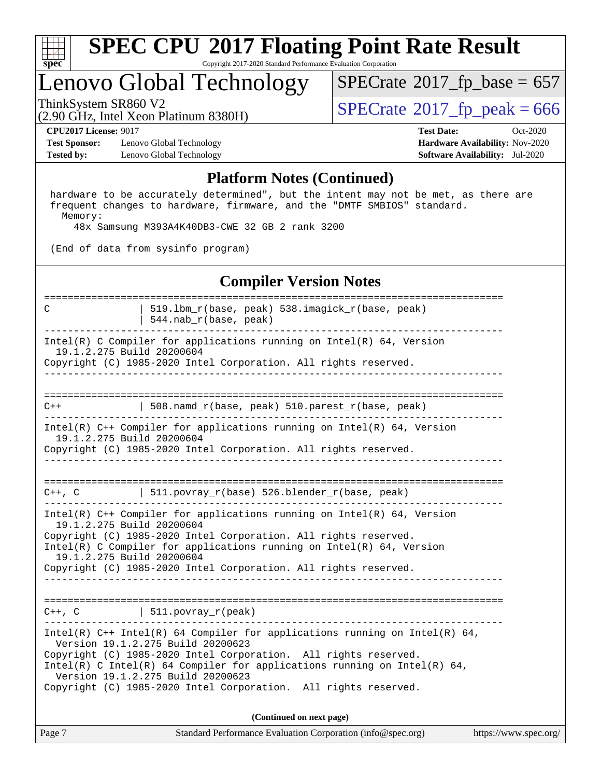

#### **[SPEC CPU](http://www.spec.org/auto/cpu2017/Docs/result-fields.html#SPECCPU2017FloatingPointRateResult)[2017 Floating Point Rate Result](http://www.spec.org/auto/cpu2017/Docs/result-fields.html#SPECCPU2017FloatingPointRateResult)** Copyright 2017-2020 Standard Performance Evaluation Corporation

### Lenovo Global Technology

ThinkSystem SR860 V2<br>(2.90 GHz, Intel Xeon Platinum 8380H)  $SPECrate@2017_fp\_peak = 666$  $SPECrate@2017_fp\_peak = 666$  $SPECTate$ <sup>®</sup>[2017\\_fp\\_base =](http://www.spec.org/auto/cpu2017/Docs/result-fields.html#SPECrate2017fpbase) 657

(2.90 GHz, Intel Xeon Platinum 8380H)

**[Test Sponsor:](http://www.spec.org/auto/cpu2017/Docs/result-fields.html#TestSponsor)** Lenovo Global Technology **[Hardware Availability:](http://www.spec.org/auto/cpu2017/Docs/result-fields.html#HardwareAvailability)** Nov-2020 **[Tested by:](http://www.spec.org/auto/cpu2017/Docs/result-fields.html#Testedby)** Lenovo Global Technology **[Software Availability:](http://www.spec.org/auto/cpu2017/Docs/result-fields.html#SoftwareAvailability)** Jul-2020

**[CPU2017 License:](http://www.spec.org/auto/cpu2017/Docs/result-fields.html#CPU2017License)** 9017 **[Test Date:](http://www.spec.org/auto/cpu2017/Docs/result-fields.html#TestDate)** Oct-2020

#### **[Platform Notes \(Continued\)](http://www.spec.org/auto/cpu2017/Docs/result-fields.html#PlatformNotes)**

 hardware to be accurately determined", but the intent may not be met, as there are frequent changes to hardware, firmware, and the "DMTF SMBIOS" standard. Memory:

48x Samsung M393A4K40DB3-CWE 32 GB 2 rank 3200

(End of data from sysinfo program)

#### **[Compiler Version Notes](http://www.spec.org/auto/cpu2017/Docs/result-fields.html#CompilerVersionNotes)**

============================================================================== C | 519.lbm\_r(base, peak) 538.imagick\_r(base, peak) | 544.nab\_r(base, peak) ------------------------------------------------------------------------------ Intel(R) C Compiler for applications running on Intel(R)  $64$ , Version 19.1.2.275 Build 20200604 Copyright (C) 1985-2020 Intel Corporation. All rights reserved. ------------------------------------------------------------------------------ ============================================================================== C++ | 508.namd\_r(base, peak) 510.parest\_r(base, peak) ------------------------------------------------------------------------------ Intel(R) C++ Compiler for applications running on Intel(R) 64, Version 19.1.2.275 Build 20200604 Copyright (C) 1985-2020 Intel Corporation. All rights reserved. ------------------------------------------------------------------------------ ==============================================================================  $C++$ , C  $| 511.povray_r(base) 526.blender_r(base, peak)$ ------------------------------------------------------------------------------ Intel(R) C++ Compiler for applications running on Intel(R)  $64$ , Version 19.1.2.275 Build 20200604 Copyright (C) 1985-2020 Intel Corporation. All rights reserved. Intel(R) C Compiler for applications running on Intel(R) 64, Version 19.1.2.275 Build 20200604 Copyright (C) 1985-2020 Intel Corporation. All rights reserved. ------------------------------------------------------------------------------ ==============================================================================  $C++$ ,  $C$  | 511.povray\_r(peak) ------------------------------------------------------------------------------ Intel(R)  $C++$  Intel(R) 64 Compiler for applications running on Intel(R) 64, Version 19.1.2.275 Build 20200623 Copyright (C) 1985-2020 Intel Corporation. All rights reserved. Intel(R) C Intel(R) 64 Compiler for applications running on Intel(R)  $64$ , Version 19.1.2.275 Build 20200623 Copyright (C) 1985-2020 Intel Corporation. All rights reserved. **(Continued on next page)**

| Page 7 | Standard Performance Evaluation Corporation (info@spec.org) | https://www.spec.org/ |
|--------|-------------------------------------------------------------|-----------------------|
|        |                                                             |                       |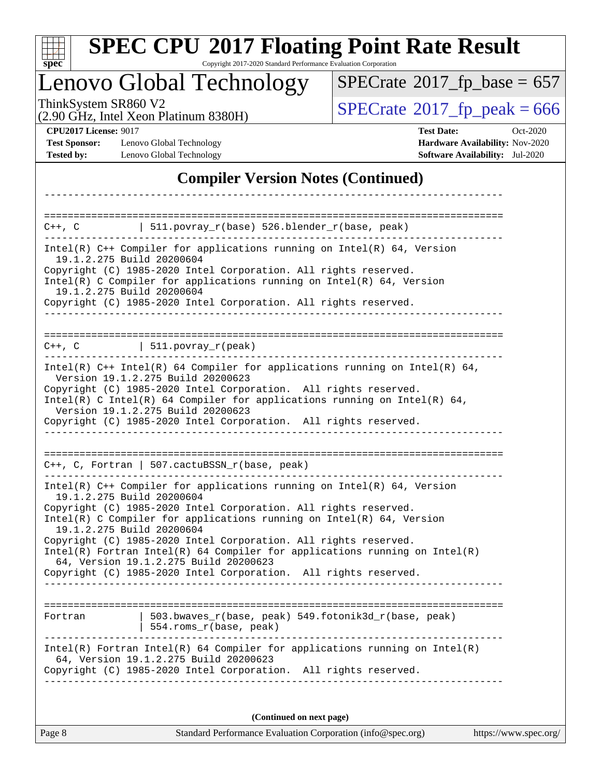| S<br>E<br>0<br>Ċ, |  |  |  |  |  |  |  |
|-------------------|--|--|--|--|--|--|--|

Copyright 2017-2020 Standard Performance Evaluation Corporation

### Lenovo Global Technology

(2.90 GHz, Intel Xeon Platinum 8380H)

ThinkSystem SR860 V2<br>(2.90 GHz, Intel Xeon Platinum 8380H)  $\overline{\text{SPECrate}}$  $\overline{\text{SPECrate}}$  $\overline{\text{SPECrate}}$   $2017\_fp\_peak = 666$  $SPECrate$ <sup>®</sup>[2017\\_fp\\_base =](http://www.spec.org/auto/cpu2017/Docs/result-fields.html#SPECrate2017fpbase) 657

**[Test Sponsor:](http://www.spec.org/auto/cpu2017/Docs/result-fields.html#TestSponsor)** Lenovo Global Technology **[Hardware Availability:](http://www.spec.org/auto/cpu2017/Docs/result-fields.html#HardwareAvailability)** Nov-2020 **[Tested by:](http://www.spec.org/auto/cpu2017/Docs/result-fields.html#Testedby)** Lenovo Global Technology **[Software Availability:](http://www.spec.org/auto/cpu2017/Docs/result-fields.html#SoftwareAvailability)** Jul-2020

**[CPU2017 License:](http://www.spec.org/auto/cpu2017/Docs/result-fields.html#CPU2017License)** 9017 **[Test Date:](http://www.spec.org/auto/cpu2017/Docs/result-fields.html#TestDate)** Oct-2020

#### **[Compiler Version Notes \(Continued\)](http://www.spec.org/auto/cpu2017/Docs/result-fields.html#CompilerVersionNotes)**

| $C++$ , C $\qquad \qquad$ 511.povray_r(base) 526.blender_r(base, peak)                                                                                                                                                                                                                                                                                                                                                                                                                                                                           |  |
|--------------------------------------------------------------------------------------------------------------------------------------------------------------------------------------------------------------------------------------------------------------------------------------------------------------------------------------------------------------------------------------------------------------------------------------------------------------------------------------------------------------------------------------------------|--|
| Intel(R) $C++$ Compiler for applications running on Intel(R) 64, Version<br>19.1.2.275 Build 20200604<br>Copyright (C) 1985-2020 Intel Corporation. All rights reserved.<br>$Intel(R)$ C Compiler for applications running on $Intel(R)$ 64, Version<br>19.1.2.275 Build 20200604<br>Copyright (C) 1985-2020 Intel Corporation. All rights reserved.                                                                                                                                                                                             |  |
| $C++$ , C $\qquad \qquad \vert$ 511.povray_r(peak)                                                                                                                                                                                                                                                                                                                                                                                                                                                                                               |  |
| Intel(R) $C++$ Intel(R) 64 Compiler for applications running on Intel(R) 64,<br>Version 19.1.2.275 Build 20200623<br>Copyright (C) 1985-2020 Intel Corporation. All rights reserved.<br>Intel(R) C Intel(R) 64 Compiler for applications running on Intel(R) 64,<br>Version 19.1.2.275 Build 20200623<br>Copyright (C) 1985-2020 Intel Corporation. All rights reserved.                                                                                                                                                                         |  |
| $C++$ , C, Fortran   507.cactuBSSN_r(base, peak)                                                                                                                                                                                                                                                                                                                                                                                                                                                                                                 |  |
| Intel(R) $C++$ Compiler for applications running on Intel(R) 64, Version<br>19.1.2.275 Build 20200604<br>Copyright (C) 1985-2020 Intel Corporation. All rights reserved.<br>$Intel(R)$ C Compiler for applications running on $Intel(R)$ 64, Version<br>19.1.2.275 Build 20200604<br>Copyright (C) 1985-2020 Intel Corporation. All rights reserved.<br>$Intel(R)$ Fortran Intel(R) 64 Compiler for applications running on Intel(R)<br>64, Version 19.1.2.275 Build 20200623<br>Copyright (C) 1985-2020 Intel Corporation. All rights reserved. |  |
| 503.bwaves_r(base, peak) 549.fotonik3d_r(base, peak)<br>Fortran<br>554.roms_r(base, peak)                                                                                                                                                                                                                                                                                                                                                                                                                                                        |  |
| Intel(R) Fortran Intel(R) 64 Compiler for applications running on Intel(R)<br>64, Version 19.1.2.275 Build 20200623<br>Copyright (C) 1985-2020 Intel Corporation. All rights reserved.                                                                                                                                                                                                                                                                                                                                                           |  |
| (Continued on next page)                                                                                                                                                                                                                                                                                                                                                                                                                                                                                                                         |  |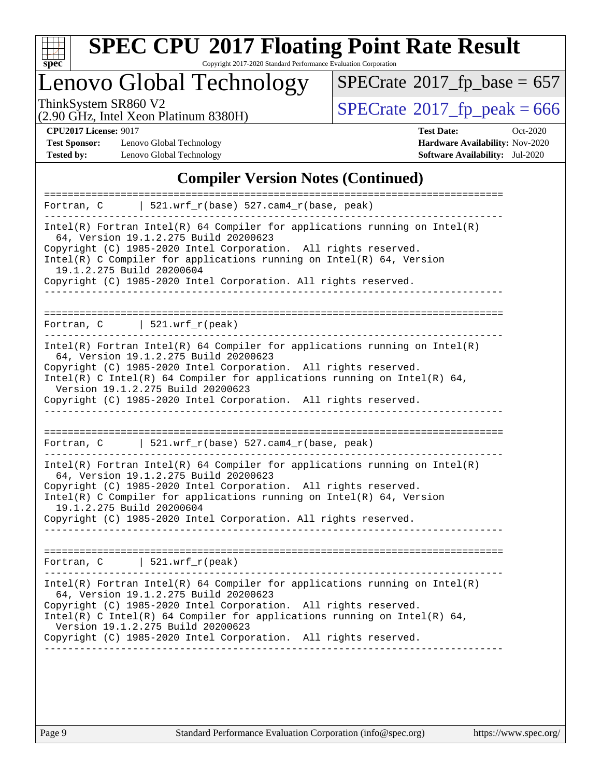

Copyright 2017-2020 Standard Performance Evaluation Corporation

### Lenovo Global Technology

 $SPECrate$ <sup>®</sup>[2017\\_fp\\_base =](http://www.spec.org/auto/cpu2017/Docs/result-fields.html#SPECrate2017fpbase) 657

(2.90 GHz, Intel Xeon Platinum 8380H)

ThinkSystem SR860 V2<br>(2.90 GHz, Intel Xeon Platinum 8380H)  $\qquad$  [SPECrate](http://www.spec.org/auto/cpu2017/Docs/result-fields.html#SPECrate2017fppeak)®[2017\\_fp\\_peak = 6](http://www.spec.org/auto/cpu2017/Docs/result-fields.html#SPECrate2017fppeak)66

**[Test Sponsor:](http://www.spec.org/auto/cpu2017/Docs/result-fields.html#TestSponsor)** Lenovo Global Technology **[Hardware Availability:](http://www.spec.org/auto/cpu2017/Docs/result-fields.html#HardwareAvailability)** Nov-2020 **[Tested by:](http://www.spec.org/auto/cpu2017/Docs/result-fields.html#Testedby)** Lenovo Global Technology **[Software Availability:](http://www.spec.org/auto/cpu2017/Docs/result-fields.html#SoftwareAvailability)** Jul-2020

**[CPU2017 License:](http://www.spec.org/auto/cpu2017/Docs/result-fields.html#CPU2017License)** 9017 **[Test Date:](http://www.spec.org/auto/cpu2017/Docs/result-fields.html#TestDate)** Oct-2020

#### **[Compiler Version Notes \(Continued\)](http://www.spec.org/auto/cpu2017/Docs/result-fields.html#CompilerVersionNotes)**

| $521.wrf_r(base) 527.cam4_r(base, peak)$<br>Fortran, C                                                                                                                                                                                                                                                                                                                       |
|------------------------------------------------------------------------------------------------------------------------------------------------------------------------------------------------------------------------------------------------------------------------------------------------------------------------------------------------------------------------------|
| $Intel(R)$ Fortran Intel(R) 64 Compiler for applications running on Intel(R)<br>64, Version 19.1.2.275 Build 20200623<br>Copyright (C) 1985-2020 Intel Corporation. All rights reserved.<br>Intel(R) C Compiler for applications running on $Intel(R) 64$ , Version<br>19.1.2.275 Build 20200604<br>Copyright (C) 1985-2020 Intel Corporation. All rights reserved.          |
|                                                                                                                                                                                                                                                                                                                                                                              |
| Fortran, $C$   521.wrf_r(peak)                                                                                                                                                                                                                                                                                                                                               |
| $Intel(R)$ Fortran Intel(R) 64 Compiler for applications running on Intel(R)<br>64, Version 19.1.2.275 Build 20200623<br>Copyright (C) 1985-2020 Intel Corporation. All rights reserved.<br>Intel(R) C Intel(R) 64 Compiler for applications running on Intel(R) 64,<br>Version 19.1.2.275 Build 20200623<br>Copyright (C) 1985-2020 Intel Corporation. All rights reserved. |
|                                                                                                                                                                                                                                                                                                                                                                              |
| Fortran, C   $521.wrf_r(base)$ 527.cam4 $r(base, peak)$                                                                                                                                                                                                                                                                                                                      |
| $Intel(R)$ Fortran Intel(R) 64 Compiler for applications running on Intel(R)<br>64, Version 19.1.2.275 Build 20200623<br>Copyright (C) 1985-2020 Intel Corporation. All rights reserved.<br>Intel(R) C Compiler for applications running on Intel(R) $64$ , Version<br>19.1.2.275 Build 20200604<br>Copyright (C) 1985-2020 Intel Corporation. All rights reserved.          |
|                                                                                                                                                                                                                                                                                                                                                                              |
| Fortran, $C$   521.wrf $r(\text{peak})$                                                                                                                                                                                                                                                                                                                                      |
| $Intel(R)$ Fortran Intel(R) 64 Compiler for applications running on Intel(R)<br>64, Version 19.1.2.275 Build 20200623<br>Copyright (C) 1985-2020 Intel Corporation. All rights reserved.<br>Intel(R) C Intel(R) 64 Compiler for applications running on Intel(R) 64,<br>Version 19.1.2.275 Build 20200623<br>Copyright (C) 1985-2020 Intel Corporation. All rights reserved. |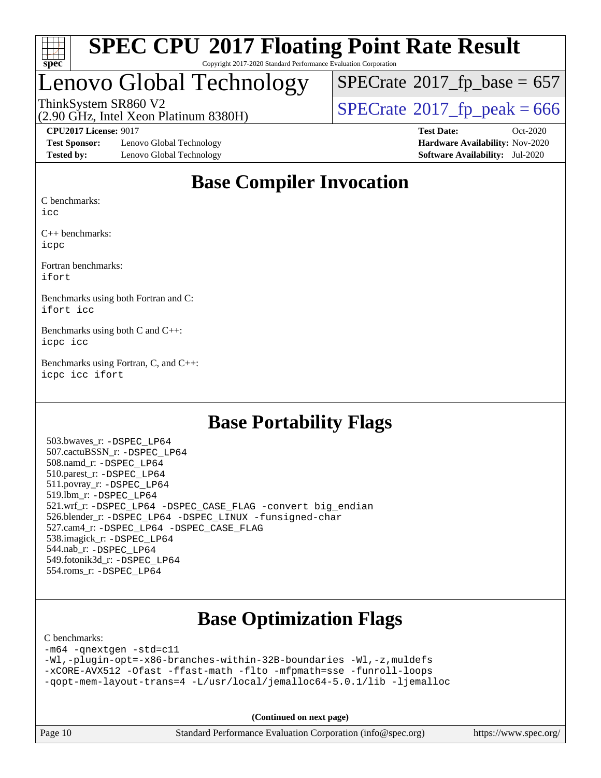

#### **[SPEC CPU](http://www.spec.org/auto/cpu2017/Docs/result-fields.html#SPECCPU2017FloatingPointRateResult)[2017 Floating Point Rate Result](http://www.spec.org/auto/cpu2017/Docs/result-fields.html#SPECCPU2017FloatingPointRateResult)** Copyright 2017-2020 Standard Performance Evaluation Corporation

### Lenovo Global Technology

 $SPECTate$ <sup>®</sup>[2017\\_fp\\_base =](http://www.spec.org/auto/cpu2017/Docs/result-fields.html#SPECrate2017fpbase) 657

(2.90 GHz, Intel Xeon Platinum 8380H)

**[Test Sponsor:](http://www.spec.org/auto/cpu2017/Docs/result-fields.html#TestSponsor)** Lenovo Global Technology **[Hardware Availability:](http://www.spec.org/auto/cpu2017/Docs/result-fields.html#HardwareAvailability)** Nov-2020 **[Tested by:](http://www.spec.org/auto/cpu2017/Docs/result-fields.html#Testedby)** Lenovo Global Technology **[Software Availability:](http://www.spec.org/auto/cpu2017/Docs/result-fields.html#SoftwareAvailability)** Jul-2020

ThinkSystem SR860 V2<br>(2.90 GHz, Intel Xeon Platinum 8380H)  $SPECrate@2017_fp\_peak = 666$  $SPECrate@2017_fp\_peak = 666$ 

**[CPU2017 License:](http://www.spec.org/auto/cpu2017/Docs/result-fields.html#CPU2017License)** 9017 **[Test Date:](http://www.spec.org/auto/cpu2017/Docs/result-fields.html#TestDate)** Oct-2020

### **[Base Compiler Invocation](http://www.spec.org/auto/cpu2017/Docs/result-fields.html#BaseCompilerInvocation)**

[C benchmarks:](http://www.spec.org/auto/cpu2017/Docs/result-fields.html#Cbenchmarks)

[icc](http://www.spec.org/cpu2017/results/res2020q4/cpu2017-20201026-24279.flags.html#user_CCbase_intel_icc_66fc1ee009f7361af1fbd72ca7dcefbb700085f36577c54f309893dd4ec40d12360134090235512931783d35fd58c0460139e722d5067c5574d8eaf2b3e37e92)

[C++ benchmarks:](http://www.spec.org/auto/cpu2017/Docs/result-fields.html#CXXbenchmarks) [icpc](http://www.spec.org/cpu2017/results/res2020q4/cpu2017-20201026-24279.flags.html#user_CXXbase_intel_icpc_c510b6838c7f56d33e37e94d029a35b4a7bccf4766a728ee175e80a419847e808290a9b78be685c44ab727ea267ec2f070ec5dc83b407c0218cded6866a35d07)

[Fortran benchmarks](http://www.spec.org/auto/cpu2017/Docs/result-fields.html#Fortranbenchmarks): [ifort](http://www.spec.org/cpu2017/results/res2020q4/cpu2017-20201026-24279.flags.html#user_FCbase_intel_ifort_8111460550e3ca792625aed983ce982f94888b8b503583aa7ba2b8303487b4d8a21a13e7191a45c5fd58ff318f48f9492884d4413fa793fd88dd292cad7027ca)

[Benchmarks using both Fortran and C:](http://www.spec.org/auto/cpu2017/Docs/result-fields.html#BenchmarksusingbothFortranandC) [ifort](http://www.spec.org/cpu2017/results/res2020q4/cpu2017-20201026-24279.flags.html#user_CC_FCbase_intel_ifort_8111460550e3ca792625aed983ce982f94888b8b503583aa7ba2b8303487b4d8a21a13e7191a45c5fd58ff318f48f9492884d4413fa793fd88dd292cad7027ca) [icc](http://www.spec.org/cpu2017/results/res2020q4/cpu2017-20201026-24279.flags.html#user_CC_FCbase_intel_icc_66fc1ee009f7361af1fbd72ca7dcefbb700085f36577c54f309893dd4ec40d12360134090235512931783d35fd58c0460139e722d5067c5574d8eaf2b3e37e92)

[Benchmarks using both C and C++](http://www.spec.org/auto/cpu2017/Docs/result-fields.html#BenchmarksusingbothCandCXX): [icpc](http://www.spec.org/cpu2017/results/res2020q4/cpu2017-20201026-24279.flags.html#user_CC_CXXbase_intel_icpc_c510b6838c7f56d33e37e94d029a35b4a7bccf4766a728ee175e80a419847e808290a9b78be685c44ab727ea267ec2f070ec5dc83b407c0218cded6866a35d07) [icc](http://www.spec.org/cpu2017/results/res2020q4/cpu2017-20201026-24279.flags.html#user_CC_CXXbase_intel_icc_66fc1ee009f7361af1fbd72ca7dcefbb700085f36577c54f309893dd4ec40d12360134090235512931783d35fd58c0460139e722d5067c5574d8eaf2b3e37e92)

[Benchmarks using Fortran, C, and C++:](http://www.spec.org/auto/cpu2017/Docs/result-fields.html#BenchmarksusingFortranCandCXX) [icpc](http://www.spec.org/cpu2017/results/res2020q4/cpu2017-20201026-24279.flags.html#user_CC_CXX_FCbase_intel_icpc_c510b6838c7f56d33e37e94d029a35b4a7bccf4766a728ee175e80a419847e808290a9b78be685c44ab727ea267ec2f070ec5dc83b407c0218cded6866a35d07) [icc](http://www.spec.org/cpu2017/results/res2020q4/cpu2017-20201026-24279.flags.html#user_CC_CXX_FCbase_intel_icc_66fc1ee009f7361af1fbd72ca7dcefbb700085f36577c54f309893dd4ec40d12360134090235512931783d35fd58c0460139e722d5067c5574d8eaf2b3e37e92) [ifort](http://www.spec.org/cpu2017/results/res2020q4/cpu2017-20201026-24279.flags.html#user_CC_CXX_FCbase_intel_ifort_8111460550e3ca792625aed983ce982f94888b8b503583aa7ba2b8303487b4d8a21a13e7191a45c5fd58ff318f48f9492884d4413fa793fd88dd292cad7027ca)

#### **[Base Portability Flags](http://www.spec.org/auto/cpu2017/Docs/result-fields.html#BasePortabilityFlags)**

 503.bwaves\_r: [-DSPEC\\_LP64](http://www.spec.org/cpu2017/results/res2020q4/cpu2017-20201026-24279.flags.html#suite_basePORTABILITY503_bwaves_r_DSPEC_LP64) 507.cactuBSSN\_r: [-DSPEC\\_LP64](http://www.spec.org/cpu2017/results/res2020q4/cpu2017-20201026-24279.flags.html#suite_basePORTABILITY507_cactuBSSN_r_DSPEC_LP64) 508.namd\_r: [-DSPEC\\_LP64](http://www.spec.org/cpu2017/results/res2020q4/cpu2017-20201026-24279.flags.html#suite_basePORTABILITY508_namd_r_DSPEC_LP64) 510.parest\_r: [-DSPEC\\_LP64](http://www.spec.org/cpu2017/results/res2020q4/cpu2017-20201026-24279.flags.html#suite_basePORTABILITY510_parest_r_DSPEC_LP64) 511.povray\_r: [-DSPEC\\_LP64](http://www.spec.org/cpu2017/results/res2020q4/cpu2017-20201026-24279.flags.html#suite_basePORTABILITY511_povray_r_DSPEC_LP64) 519.lbm\_r: [-DSPEC\\_LP64](http://www.spec.org/cpu2017/results/res2020q4/cpu2017-20201026-24279.flags.html#suite_basePORTABILITY519_lbm_r_DSPEC_LP64) 521.wrf\_r: [-DSPEC\\_LP64](http://www.spec.org/cpu2017/results/res2020q4/cpu2017-20201026-24279.flags.html#suite_basePORTABILITY521_wrf_r_DSPEC_LP64) [-DSPEC\\_CASE\\_FLAG](http://www.spec.org/cpu2017/results/res2020q4/cpu2017-20201026-24279.flags.html#b521.wrf_r_baseCPORTABILITY_DSPEC_CASE_FLAG) [-convert big\\_endian](http://www.spec.org/cpu2017/results/res2020q4/cpu2017-20201026-24279.flags.html#user_baseFPORTABILITY521_wrf_r_convert_big_endian_c3194028bc08c63ac5d04de18c48ce6d347e4e562e8892b8bdbdc0214820426deb8554edfa529a3fb25a586e65a3d812c835984020483e7e73212c4d31a38223) 526.blender\_r: [-DSPEC\\_LP64](http://www.spec.org/cpu2017/results/res2020q4/cpu2017-20201026-24279.flags.html#suite_basePORTABILITY526_blender_r_DSPEC_LP64) [-DSPEC\\_LINUX](http://www.spec.org/cpu2017/results/res2020q4/cpu2017-20201026-24279.flags.html#b526.blender_r_baseCPORTABILITY_DSPEC_LINUX) [-funsigned-char](http://www.spec.org/cpu2017/results/res2020q4/cpu2017-20201026-24279.flags.html#user_baseCPORTABILITY526_blender_r_force_uchar_40c60f00ab013830e2dd6774aeded3ff59883ba5a1fc5fc14077f794d777847726e2a5858cbc7672e36e1b067e7e5c1d9a74f7176df07886a243d7cc18edfe67) 527.cam4\_r: [-DSPEC\\_LP64](http://www.spec.org/cpu2017/results/res2020q4/cpu2017-20201026-24279.flags.html#suite_basePORTABILITY527_cam4_r_DSPEC_LP64) [-DSPEC\\_CASE\\_FLAG](http://www.spec.org/cpu2017/results/res2020q4/cpu2017-20201026-24279.flags.html#b527.cam4_r_baseCPORTABILITY_DSPEC_CASE_FLAG) 538.imagick\_r: [-DSPEC\\_LP64](http://www.spec.org/cpu2017/results/res2020q4/cpu2017-20201026-24279.flags.html#suite_basePORTABILITY538_imagick_r_DSPEC_LP64) 544.nab\_r: [-DSPEC\\_LP64](http://www.spec.org/cpu2017/results/res2020q4/cpu2017-20201026-24279.flags.html#suite_basePORTABILITY544_nab_r_DSPEC_LP64) 549.fotonik3d\_r: [-DSPEC\\_LP64](http://www.spec.org/cpu2017/results/res2020q4/cpu2017-20201026-24279.flags.html#suite_basePORTABILITY549_fotonik3d_r_DSPEC_LP64) 554.roms\_r: [-DSPEC\\_LP64](http://www.spec.org/cpu2017/results/res2020q4/cpu2017-20201026-24279.flags.html#suite_basePORTABILITY554_roms_r_DSPEC_LP64)

### **[Base Optimization Flags](http://www.spec.org/auto/cpu2017/Docs/result-fields.html#BaseOptimizationFlags)**

#### [C benchmarks](http://www.spec.org/auto/cpu2017/Docs/result-fields.html#Cbenchmarks):

[-m64](http://www.spec.org/cpu2017/results/res2020q4/cpu2017-20201026-24279.flags.html#user_CCbase_m64-icc) [-qnextgen](http://www.spec.org/cpu2017/results/res2020q4/cpu2017-20201026-24279.flags.html#user_CCbase_f-qnextgen) [-std=c11](http://www.spec.org/cpu2017/results/res2020q4/cpu2017-20201026-24279.flags.html#user_CCbase_std-icc-std_0e1c27790398a4642dfca32ffe6c27b5796f9c2d2676156f2e42c9c44eaad0c049b1cdb667a270c34d979996257aeb8fc440bfb01818dbc9357bd9d174cb8524) [-Wl,-plugin-opt=-x86-branches-within-32B-boundaries](http://www.spec.org/cpu2017/results/res2020q4/cpu2017-20201026-24279.flags.html#user_CCbase_f-x86-branches-within-32B-boundaries_0098b4e4317ae60947b7b728078a624952a08ac37a3c797dfb4ffeb399e0c61a9dd0f2f44ce917e9361fb9076ccb15e7824594512dd315205382d84209e912f3) [-Wl,-z,muldefs](http://www.spec.org/cpu2017/results/res2020q4/cpu2017-20201026-24279.flags.html#user_CCbase_link_force_multiple1_b4cbdb97b34bdee9ceefcfe54f4c8ea74255f0b02a4b23e853cdb0e18eb4525ac79b5a88067c842dd0ee6996c24547a27a4b99331201badda8798ef8a743f577) [-xCORE-AVX512](http://www.spec.org/cpu2017/results/res2020q4/cpu2017-20201026-24279.flags.html#user_CCbase_f-xCORE-AVX512) [-Ofast](http://www.spec.org/cpu2017/results/res2020q4/cpu2017-20201026-24279.flags.html#user_CCbase_f-Ofast) [-ffast-math](http://www.spec.org/cpu2017/results/res2020q4/cpu2017-20201026-24279.flags.html#user_CCbase_f-ffast-math) [-flto](http://www.spec.org/cpu2017/results/res2020q4/cpu2017-20201026-24279.flags.html#user_CCbase_f-flto) [-mfpmath=sse](http://www.spec.org/cpu2017/results/res2020q4/cpu2017-20201026-24279.flags.html#user_CCbase_f-mfpmath_70eb8fac26bde974f8ab713bc9086c5621c0b8d2f6c86f38af0bd7062540daf19db5f3a066d8c6684be05d84c9b6322eb3b5be6619d967835195b93d6c02afa1) [-funroll-loops](http://www.spec.org/cpu2017/results/res2020q4/cpu2017-20201026-24279.flags.html#user_CCbase_f-funroll-loops) [-qopt-mem-layout-trans=4](http://www.spec.org/cpu2017/results/res2020q4/cpu2017-20201026-24279.flags.html#user_CCbase_f-qopt-mem-layout-trans_fa39e755916c150a61361b7846f310bcdf6f04e385ef281cadf3647acec3f0ae266d1a1d22d972a7087a248fd4e6ca390a3634700869573d231a252c784941a8) [-L/usr/local/jemalloc64-5.0.1/lib](http://www.spec.org/cpu2017/results/res2020q4/cpu2017-20201026-24279.flags.html#user_CCbase_jemalloc_link_path64_1_cc289568b1a6c0fd3b62c91b824c27fcb5af5e8098e6ad028160d21144ef1b8aef3170d2acf0bee98a8da324cfe4f67d0a3d0c4cc4673d993d694dc2a0df248b) [-ljemalloc](http://www.spec.org/cpu2017/results/res2020q4/cpu2017-20201026-24279.flags.html#user_CCbase_jemalloc_link_lib_d1249b907c500fa1c0672f44f562e3d0f79738ae9e3c4a9c376d49f265a04b9c99b167ecedbf6711b3085be911c67ff61f150a17b3472be731631ba4d0471706)

**(Continued on next page)**

Page 10 Standard Performance Evaluation Corporation [\(info@spec.org\)](mailto:info@spec.org) <https://www.spec.org/>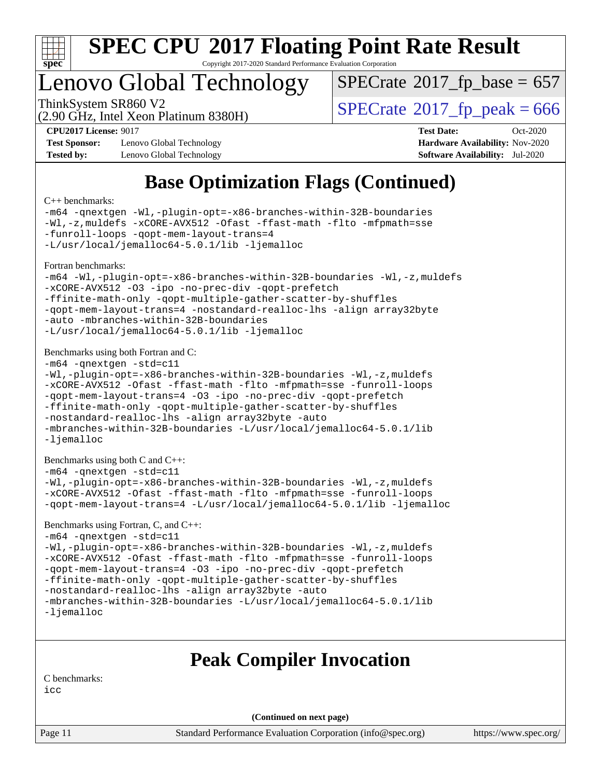

Copyright 2017-2020 Standard Performance Evaluation Corporation

### Lenovo Global Technology

ThinkSystem SR860 V2<br>(2.90 GHz, Intel Xeon Platinum 8380H)  $SPECrate@2017_fp\_peak = 666$  $SPECrate@2017_fp\_peak = 666$  $SPECTate$ <sup>®</sup>[2017\\_fp\\_base =](http://www.spec.org/auto/cpu2017/Docs/result-fields.html#SPECrate2017fpbase) 657

(2.90 GHz, Intel Xeon Platinum 8380H)

**[Test Sponsor:](http://www.spec.org/auto/cpu2017/Docs/result-fields.html#TestSponsor)** Lenovo Global Technology **[Hardware Availability:](http://www.spec.org/auto/cpu2017/Docs/result-fields.html#HardwareAvailability)** Nov-2020 **[Tested by:](http://www.spec.org/auto/cpu2017/Docs/result-fields.html#Testedby)** Lenovo Global Technology **[Software Availability:](http://www.spec.org/auto/cpu2017/Docs/result-fields.html#SoftwareAvailability)** Jul-2020

**[CPU2017 License:](http://www.spec.org/auto/cpu2017/Docs/result-fields.html#CPU2017License)** 9017 **[Test Date:](http://www.spec.org/auto/cpu2017/Docs/result-fields.html#TestDate)** Oct-2020

### **[Base Optimization Flags \(Continued\)](http://www.spec.org/auto/cpu2017/Docs/result-fields.html#BaseOptimizationFlags)**

[C++ benchmarks:](http://www.spec.org/auto/cpu2017/Docs/result-fields.html#CXXbenchmarks)

[-m64](http://www.spec.org/cpu2017/results/res2020q4/cpu2017-20201026-24279.flags.html#user_CXXbase_m64-icc) [-qnextgen](http://www.spec.org/cpu2017/results/res2020q4/cpu2017-20201026-24279.flags.html#user_CXXbase_f-qnextgen) [-Wl,-plugin-opt=-x86-branches-within-32B-boundaries](http://www.spec.org/cpu2017/results/res2020q4/cpu2017-20201026-24279.flags.html#user_CXXbase_f-x86-branches-within-32B-boundaries_0098b4e4317ae60947b7b728078a624952a08ac37a3c797dfb4ffeb399e0c61a9dd0f2f44ce917e9361fb9076ccb15e7824594512dd315205382d84209e912f3) [-Wl,-z,muldefs](http://www.spec.org/cpu2017/results/res2020q4/cpu2017-20201026-24279.flags.html#user_CXXbase_link_force_multiple1_b4cbdb97b34bdee9ceefcfe54f4c8ea74255f0b02a4b23e853cdb0e18eb4525ac79b5a88067c842dd0ee6996c24547a27a4b99331201badda8798ef8a743f577) [-xCORE-AVX512](http://www.spec.org/cpu2017/results/res2020q4/cpu2017-20201026-24279.flags.html#user_CXXbase_f-xCORE-AVX512) [-Ofast](http://www.spec.org/cpu2017/results/res2020q4/cpu2017-20201026-24279.flags.html#user_CXXbase_f-Ofast) [-ffast-math](http://www.spec.org/cpu2017/results/res2020q4/cpu2017-20201026-24279.flags.html#user_CXXbase_f-ffast-math) [-flto](http://www.spec.org/cpu2017/results/res2020q4/cpu2017-20201026-24279.flags.html#user_CXXbase_f-flto) [-mfpmath=sse](http://www.spec.org/cpu2017/results/res2020q4/cpu2017-20201026-24279.flags.html#user_CXXbase_f-mfpmath_70eb8fac26bde974f8ab713bc9086c5621c0b8d2f6c86f38af0bd7062540daf19db5f3a066d8c6684be05d84c9b6322eb3b5be6619d967835195b93d6c02afa1) [-funroll-loops](http://www.spec.org/cpu2017/results/res2020q4/cpu2017-20201026-24279.flags.html#user_CXXbase_f-funroll-loops) [-qopt-mem-layout-trans=4](http://www.spec.org/cpu2017/results/res2020q4/cpu2017-20201026-24279.flags.html#user_CXXbase_f-qopt-mem-layout-trans_fa39e755916c150a61361b7846f310bcdf6f04e385ef281cadf3647acec3f0ae266d1a1d22d972a7087a248fd4e6ca390a3634700869573d231a252c784941a8) [-L/usr/local/jemalloc64-5.0.1/lib](http://www.spec.org/cpu2017/results/res2020q4/cpu2017-20201026-24279.flags.html#user_CXXbase_jemalloc_link_path64_1_cc289568b1a6c0fd3b62c91b824c27fcb5af5e8098e6ad028160d21144ef1b8aef3170d2acf0bee98a8da324cfe4f67d0a3d0c4cc4673d993d694dc2a0df248b) [-ljemalloc](http://www.spec.org/cpu2017/results/res2020q4/cpu2017-20201026-24279.flags.html#user_CXXbase_jemalloc_link_lib_d1249b907c500fa1c0672f44f562e3d0f79738ae9e3c4a9c376d49f265a04b9c99b167ecedbf6711b3085be911c67ff61f150a17b3472be731631ba4d0471706) [Fortran benchmarks](http://www.spec.org/auto/cpu2017/Docs/result-fields.html#Fortranbenchmarks): [-m64](http://www.spec.org/cpu2017/results/res2020q4/cpu2017-20201026-24279.flags.html#user_FCbase_m64-icc) [-Wl,-plugin-opt=-x86-branches-within-32B-boundaries](http://www.spec.org/cpu2017/results/res2020q4/cpu2017-20201026-24279.flags.html#user_FCbase_f-x86-branches-within-32B-boundaries_0098b4e4317ae60947b7b728078a624952a08ac37a3c797dfb4ffeb399e0c61a9dd0f2f44ce917e9361fb9076ccb15e7824594512dd315205382d84209e912f3) [-Wl,-z,muldefs](http://www.spec.org/cpu2017/results/res2020q4/cpu2017-20201026-24279.flags.html#user_FCbase_link_force_multiple1_b4cbdb97b34bdee9ceefcfe54f4c8ea74255f0b02a4b23e853cdb0e18eb4525ac79b5a88067c842dd0ee6996c24547a27a4b99331201badda8798ef8a743f577) [-xCORE-AVX512](http://www.spec.org/cpu2017/results/res2020q4/cpu2017-20201026-24279.flags.html#user_FCbase_f-xCORE-AVX512) [-O3](http://www.spec.org/cpu2017/results/res2020q4/cpu2017-20201026-24279.flags.html#user_FCbase_f-O3) [-ipo](http://www.spec.org/cpu2017/results/res2020q4/cpu2017-20201026-24279.flags.html#user_FCbase_f-ipo) [-no-prec-div](http://www.spec.org/cpu2017/results/res2020q4/cpu2017-20201026-24279.flags.html#user_FCbase_f-no-prec-div) [-qopt-prefetch](http://www.spec.org/cpu2017/results/res2020q4/cpu2017-20201026-24279.flags.html#user_FCbase_f-qopt-prefetch) [-ffinite-math-only](http://www.spec.org/cpu2017/results/res2020q4/cpu2017-20201026-24279.flags.html#user_FCbase_f_finite_math_only_cb91587bd2077682c4b38af759c288ed7c732db004271a9512da14a4f8007909a5f1427ecbf1a0fb78ff2a814402c6114ac565ca162485bbcae155b5e4258871) [-qopt-multiple-gather-scatter-by-shuffles](http://www.spec.org/cpu2017/results/res2020q4/cpu2017-20201026-24279.flags.html#user_FCbase_f-qopt-multiple-gather-scatter-by-shuffles) [-qopt-mem-layout-trans=4](http://www.spec.org/cpu2017/results/res2020q4/cpu2017-20201026-24279.flags.html#user_FCbase_f-qopt-mem-layout-trans_fa39e755916c150a61361b7846f310bcdf6f04e385ef281cadf3647acec3f0ae266d1a1d22d972a7087a248fd4e6ca390a3634700869573d231a252c784941a8) [-nostandard-realloc-lhs](http://www.spec.org/cpu2017/results/res2020q4/cpu2017-20201026-24279.flags.html#user_FCbase_f_2003_std_realloc_82b4557e90729c0f113870c07e44d33d6f5a304b4f63d4c15d2d0f1fab99f5daaed73bdb9275d9ae411527f28b936061aa8b9c8f2d63842963b95c9dd6426b8a) [-align array32byte](http://www.spec.org/cpu2017/results/res2020q4/cpu2017-20201026-24279.flags.html#user_FCbase_align_array32byte_b982fe038af199962ba9a80c053b8342c548c85b40b8e86eb3cc33dee0d7986a4af373ac2d51c3f7cf710a18d62fdce2948f201cd044323541f22fc0fffc51b6) [-auto](http://www.spec.org/cpu2017/results/res2020q4/cpu2017-20201026-24279.flags.html#user_FCbase_f-auto) [-mbranches-within-32B-boundaries](http://www.spec.org/cpu2017/results/res2020q4/cpu2017-20201026-24279.flags.html#user_FCbase_f-mbranches-within-32B-boundaries) [-L/usr/local/jemalloc64-5.0.1/lib](http://www.spec.org/cpu2017/results/res2020q4/cpu2017-20201026-24279.flags.html#user_FCbase_jemalloc_link_path64_1_cc289568b1a6c0fd3b62c91b824c27fcb5af5e8098e6ad028160d21144ef1b8aef3170d2acf0bee98a8da324cfe4f67d0a3d0c4cc4673d993d694dc2a0df248b) [-ljemalloc](http://www.spec.org/cpu2017/results/res2020q4/cpu2017-20201026-24279.flags.html#user_FCbase_jemalloc_link_lib_d1249b907c500fa1c0672f44f562e3d0f79738ae9e3c4a9c376d49f265a04b9c99b167ecedbf6711b3085be911c67ff61f150a17b3472be731631ba4d0471706) [Benchmarks using both Fortran and C](http://www.spec.org/auto/cpu2017/Docs/result-fields.html#BenchmarksusingbothFortranandC): [-m64](http://www.spec.org/cpu2017/results/res2020q4/cpu2017-20201026-24279.flags.html#user_CC_FCbase_m64-icc) [-qnextgen](http://www.spec.org/cpu2017/results/res2020q4/cpu2017-20201026-24279.flags.html#user_CC_FCbase_f-qnextgen) [-std=c11](http://www.spec.org/cpu2017/results/res2020q4/cpu2017-20201026-24279.flags.html#user_CC_FCbase_std-icc-std_0e1c27790398a4642dfca32ffe6c27b5796f9c2d2676156f2e42c9c44eaad0c049b1cdb667a270c34d979996257aeb8fc440bfb01818dbc9357bd9d174cb8524) [-Wl,-plugin-opt=-x86-branches-within-32B-boundaries](http://www.spec.org/cpu2017/results/res2020q4/cpu2017-20201026-24279.flags.html#user_CC_FCbase_f-x86-branches-within-32B-boundaries_0098b4e4317ae60947b7b728078a624952a08ac37a3c797dfb4ffeb399e0c61a9dd0f2f44ce917e9361fb9076ccb15e7824594512dd315205382d84209e912f3) [-Wl,-z,muldefs](http://www.spec.org/cpu2017/results/res2020q4/cpu2017-20201026-24279.flags.html#user_CC_FCbase_link_force_multiple1_b4cbdb97b34bdee9ceefcfe54f4c8ea74255f0b02a4b23e853cdb0e18eb4525ac79b5a88067c842dd0ee6996c24547a27a4b99331201badda8798ef8a743f577) [-xCORE-AVX512](http://www.spec.org/cpu2017/results/res2020q4/cpu2017-20201026-24279.flags.html#user_CC_FCbase_f-xCORE-AVX512) [-Ofast](http://www.spec.org/cpu2017/results/res2020q4/cpu2017-20201026-24279.flags.html#user_CC_FCbase_f-Ofast) [-ffast-math](http://www.spec.org/cpu2017/results/res2020q4/cpu2017-20201026-24279.flags.html#user_CC_FCbase_f-ffast-math) [-flto](http://www.spec.org/cpu2017/results/res2020q4/cpu2017-20201026-24279.flags.html#user_CC_FCbase_f-flto) [-mfpmath=sse](http://www.spec.org/cpu2017/results/res2020q4/cpu2017-20201026-24279.flags.html#user_CC_FCbase_f-mfpmath_70eb8fac26bde974f8ab713bc9086c5621c0b8d2f6c86f38af0bd7062540daf19db5f3a066d8c6684be05d84c9b6322eb3b5be6619d967835195b93d6c02afa1) [-funroll-loops](http://www.spec.org/cpu2017/results/res2020q4/cpu2017-20201026-24279.flags.html#user_CC_FCbase_f-funroll-loops) [-qopt-mem-layout-trans=4](http://www.spec.org/cpu2017/results/res2020q4/cpu2017-20201026-24279.flags.html#user_CC_FCbase_f-qopt-mem-layout-trans_fa39e755916c150a61361b7846f310bcdf6f04e385ef281cadf3647acec3f0ae266d1a1d22d972a7087a248fd4e6ca390a3634700869573d231a252c784941a8) [-O3](http://www.spec.org/cpu2017/results/res2020q4/cpu2017-20201026-24279.flags.html#user_CC_FCbase_f-O3) [-ipo](http://www.spec.org/cpu2017/results/res2020q4/cpu2017-20201026-24279.flags.html#user_CC_FCbase_f-ipo) [-no-prec-div](http://www.spec.org/cpu2017/results/res2020q4/cpu2017-20201026-24279.flags.html#user_CC_FCbase_f-no-prec-div) [-qopt-prefetch](http://www.spec.org/cpu2017/results/res2020q4/cpu2017-20201026-24279.flags.html#user_CC_FCbase_f-qopt-prefetch) [-ffinite-math-only](http://www.spec.org/cpu2017/results/res2020q4/cpu2017-20201026-24279.flags.html#user_CC_FCbase_f_finite_math_only_cb91587bd2077682c4b38af759c288ed7c732db004271a9512da14a4f8007909a5f1427ecbf1a0fb78ff2a814402c6114ac565ca162485bbcae155b5e4258871) [-qopt-multiple-gather-scatter-by-shuffles](http://www.spec.org/cpu2017/results/res2020q4/cpu2017-20201026-24279.flags.html#user_CC_FCbase_f-qopt-multiple-gather-scatter-by-shuffles) [-nostandard-realloc-lhs](http://www.spec.org/cpu2017/results/res2020q4/cpu2017-20201026-24279.flags.html#user_CC_FCbase_f_2003_std_realloc_82b4557e90729c0f113870c07e44d33d6f5a304b4f63d4c15d2d0f1fab99f5daaed73bdb9275d9ae411527f28b936061aa8b9c8f2d63842963b95c9dd6426b8a) [-align array32byte](http://www.spec.org/cpu2017/results/res2020q4/cpu2017-20201026-24279.flags.html#user_CC_FCbase_align_array32byte_b982fe038af199962ba9a80c053b8342c548c85b40b8e86eb3cc33dee0d7986a4af373ac2d51c3f7cf710a18d62fdce2948f201cd044323541f22fc0fffc51b6) [-auto](http://www.spec.org/cpu2017/results/res2020q4/cpu2017-20201026-24279.flags.html#user_CC_FCbase_f-auto) [-mbranches-within-32B-boundaries](http://www.spec.org/cpu2017/results/res2020q4/cpu2017-20201026-24279.flags.html#user_CC_FCbase_f-mbranches-within-32B-boundaries) [-L/usr/local/jemalloc64-5.0.1/lib](http://www.spec.org/cpu2017/results/res2020q4/cpu2017-20201026-24279.flags.html#user_CC_FCbase_jemalloc_link_path64_1_cc289568b1a6c0fd3b62c91b824c27fcb5af5e8098e6ad028160d21144ef1b8aef3170d2acf0bee98a8da324cfe4f67d0a3d0c4cc4673d993d694dc2a0df248b) [-ljemalloc](http://www.spec.org/cpu2017/results/res2020q4/cpu2017-20201026-24279.flags.html#user_CC_FCbase_jemalloc_link_lib_d1249b907c500fa1c0672f44f562e3d0f79738ae9e3c4a9c376d49f265a04b9c99b167ecedbf6711b3085be911c67ff61f150a17b3472be731631ba4d0471706) [Benchmarks using both C and C++](http://www.spec.org/auto/cpu2017/Docs/result-fields.html#BenchmarksusingbothCandCXX): [-m64](http://www.spec.org/cpu2017/results/res2020q4/cpu2017-20201026-24279.flags.html#user_CC_CXXbase_m64-icc) [-qnextgen](http://www.spec.org/cpu2017/results/res2020q4/cpu2017-20201026-24279.flags.html#user_CC_CXXbase_f-qnextgen) [-std=c11](http://www.spec.org/cpu2017/results/res2020q4/cpu2017-20201026-24279.flags.html#user_CC_CXXbase_std-icc-std_0e1c27790398a4642dfca32ffe6c27b5796f9c2d2676156f2e42c9c44eaad0c049b1cdb667a270c34d979996257aeb8fc440bfb01818dbc9357bd9d174cb8524) [-Wl,-plugin-opt=-x86-branches-within-32B-boundaries](http://www.spec.org/cpu2017/results/res2020q4/cpu2017-20201026-24279.flags.html#user_CC_CXXbase_f-x86-branches-within-32B-boundaries_0098b4e4317ae60947b7b728078a624952a08ac37a3c797dfb4ffeb399e0c61a9dd0f2f44ce917e9361fb9076ccb15e7824594512dd315205382d84209e912f3) [-Wl,-z,muldefs](http://www.spec.org/cpu2017/results/res2020q4/cpu2017-20201026-24279.flags.html#user_CC_CXXbase_link_force_multiple1_b4cbdb97b34bdee9ceefcfe54f4c8ea74255f0b02a4b23e853cdb0e18eb4525ac79b5a88067c842dd0ee6996c24547a27a4b99331201badda8798ef8a743f577) [-xCORE-AVX512](http://www.spec.org/cpu2017/results/res2020q4/cpu2017-20201026-24279.flags.html#user_CC_CXXbase_f-xCORE-AVX512) [-Ofast](http://www.spec.org/cpu2017/results/res2020q4/cpu2017-20201026-24279.flags.html#user_CC_CXXbase_f-Ofast) [-ffast-math](http://www.spec.org/cpu2017/results/res2020q4/cpu2017-20201026-24279.flags.html#user_CC_CXXbase_f-ffast-math) [-flto](http://www.spec.org/cpu2017/results/res2020q4/cpu2017-20201026-24279.flags.html#user_CC_CXXbase_f-flto) [-mfpmath=sse](http://www.spec.org/cpu2017/results/res2020q4/cpu2017-20201026-24279.flags.html#user_CC_CXXbase_f-mfpmath_70eb8fac26bde974f8ab713bc9086c5621c0b8d2f6c86f38af0bd7062540daf19db5f3a066d8c6684be05d84c9b6322eb3b5be6619d967835195b93d6c02afa1) [-funroll-loops](http://www.spec.org/cpu2017/results/res2020q4/cpu2017-20201026-24279.flags.html#user_CC_CXXbase_f-funroll-loops) [-qopt-mem-layout-trans=4](http://www.spec.org/cpu2017/results/res2020q4/cpu2017-20201026-24279.flags.html#user_CC_CXXbase_f-qopt-mem-layout-trans_fa39e755916c150a61361b7846f310bcdf6f04e385ef281cadf3647acec3f0ae266d1a1d22d972a7087a248fd4e6ca390a3634700869573d231a252c784941a8) [-L/usr/local/jemalloc64-5.0.1/lib](http://www.spec.org/cpu2017/results/res2020q4/cpu2017-20201026-24279.flags.html#user_CC_CXXbase_jemalloc_link_path64_1_cc289568b1a6c0fd3b62c91b824c27fcb5af5e8098e6ad028160d21144ef1b8aef3170d2acf0bee98a8da324cfe4f67d0a3d0c4cc4673d993d694dc2a0df248b) [-ljemalloc](http://www.spec.org/cpu2017/results/res2020q4/cpu2017-20201026-24279.flags.html#user_CC_CXXbase_jemalloc_link_lib_d1249b907c500fa1c0672f44f562e3d0f79738ae9e3c4a9c376d49f265a04b9c99b167ecedbf6711b3085be911c67ff61f150a17b3472be731631ba4d0471706) [Benchmarks using Fortran, C, and C++:](http://www.spec.org/auto/cpu2017/Docs/result-fields.html#BenchmarksusingFortranCandCXX) [-m64](http://www.spec.org/cpu2017/results/res2020q4/cpu2017-20201026-24279.flags.html#user_CC_CXX_FCbase_m64-icc) [-qnextgen](http://www.spec.org/cpu2017/results/res2020q4/cpu2017-20201026-24279.flags.html#user_CC_CXX_FCbase_f-qnextgen) [-std=c11](http://www.spec.org/cpu2017/results/res2020q4/cpu2017-20201026-24279.flags.html#user_CC_CXX_FCbase_std-icc-std_0e1c27790398a4642dfca32ffe6c27b5796f9c2d2676156f2e42c9c44eaad0c049b1cdb667a270c34d979996257aeb8fc440bfb01818dbc9357bd9d174cb8524) [-Wl,-plugin-opt=-x86-branches-within-32B-boundaries](http://www.spec.org/cpu2017/results/res2020q4/cpu2017-20201026-24279.flags.html#user_CC_CXX_FCbase_f-x86-branches-within-32B-boundaries_0098b4e4317ae60947b7b728078a624952a08ac37a3c797dfb4ffeb399e0c61a9dd0f2f44ce917e9361fb9076ccb15e7824594512dd315205382d84209e912f3) [-Wl,-z,muldefs](http://www.spec.org/cpu2017/results/res2020q4/cpu2017-20201026-24279.flags.html#user_CC_CXX_FCbase_link_force_multiple1_b4cbdb97b34bdee9ceefcfe54f4c8ea74255f0b02a4b23e853cdb0e18eb4525ac79b5a88067c842dd0ee6996c24547a27a4b99331201badda8798ef8a743f577) [-xCORE-AVX512](http://www.spec.org/cpu2017/results/res2020q4/cpu2017-20201026-24279.flags.html#user_CC_CXX_FCbase_f-xCORE-AVX512) [-Ofast](http://www.spec.org/cpu2017/results/res2020q4/cpu2017-20201026-24279.flags.html#user_CC_CXX_FCbase_f-Ofast) [-ffast-math](http://www.spec.org/cpu2017/results/res2020q4/cpu2017-20201026-24279.flags.html#user_CC_CXX_FCbase_f-ffast-math) [-flto](http://www.spec.org/cpu2017/results/res2020q4/cpu2017-20201026-24279.flags.html#user_CC_CXX_FCbase_f-flto) [-mfpmath=sse](http://www.spec.org/cpu2017/results/res2020q4/cpu2017-20201026-24279.flags.html#user_CC_CXX_FCbase_f-mfpmath_70eb8fac26bde974f8ab713bc9086c5621c0b8d2f6c86f38af0bd7062540daf19db5f3a066d8c6684be05d84c9b6322eb3b5be6619d967835195b93d6c02afa1) [-funroll-loops](http://www.spec.org/cpu2017/results/res2020q4/cpu2017-20201026-24279.flags.html#user_CC_CXX_FCbase_f-funroll-loops) [-qopt-mem-layout-trans=4](http://www.spec.org/cpu2017/results/res2020q4/cpu2017-20201026-24279.flags.html#user_CC_CXX_FCbase_f-qopt-mem-layout-trans_fa39e755916c150a61361b7846f310bcdf6f04e385ef281cadf3647acec3f0ae266d1a1d22d972a7087a248fd4e6ca390a3634700869573d231a252c784941a8) [-O3](http://www.spec.org/cpu2017/results/res2020q4/cpu2017-20201026-24279.flags.html#user_CC_CXX_FCbase_f-O3) [-ipo](http://www.spec.org/cpu2017/results/res2020q4/cpu2017-20201026-24279.flags.html#user_CC_CXX_FCbase_f-ipo) [-no-prec-div](http://www.spec.org/cpu2017/results/res2020q4/cpu2017-20201026-24279.flags.html#user_CC_CXX_FCbase_f-no-prec-div) [-qopt-prefetch](http://www.spec.org/cpu2017/results/res2020q4/cpu2017-20201026-24279.flags.html#user_CC_CXX_FCbase_f-qopt-prefetch) [-ffinite-math-only](http://www.spec.org/cpu2017/results/res2020q4/cpu2017-20201026-24279.flags.html#user_CC_CXX_FCbase_f_finite_math_only_cb91587bd2077682c4b38af759c288ed7c732db004271a9512da14a4f8007909a5f1427ecbf1a0fb78ff2a814402c6114ac565ca162485bbcae155b5e4258871) [-qopt-multiple-gather-scatter-by-shuffles](http://www.spec.org/cpu2017/results/res2020q4/cpu2017-20201026-24279.flags.html#user_CC_CXX_FCbase_f-qopt-multiple-gather-scatter-by-shuffles) [-nostandard-realloc-lhs](http://www.spec.org/cpu2017/results/res2020q4/cpu2017-20201026-24279.flags.html#user_CC_CXX_FCbase_f_2003_std_realloc_82b4557e90729c0f113870c07e44d33d6f5a304b4f63d4c15d2d0f1fab99f5daaed73bdb9275d9ae411527f28b936061aa8b9c8f2d63842963b95c9dd6426b8a) [-align array32byte](http://www.spec.org/cpu2017/results/res2020q4/cpu2017-20201026-24279.flags.html#user_CC_CXX_FCbase_align_array32byte_b982fe038af199962ba9a80c053b8342c548c85b40b8e86eb3cc33dee0d7986a4af373ac2d51c3f7cf710a18d62fdce2948f201cd044323541f22fc0fffc51b6) [-auto](http://www.spec.org/cpu2017/results/res2020q4/cpu2017-20201026-24279.flags.html#user_CC_CXX_FCbase_f-auto) [-mbranches-within-32B-boundaries](http://www.spec.org/cpu2017/results/res2020q4/cpu2017-20201026-24279.flags.html#user_CC_CXX_FCbase_f-mbranches-within-32B-boundaries) [-L/usr/local/jemalloc64-5.0.1/lib](http://www.spec.org/cpu2017/results/res2020q4/cpu2017-20201026-24279.flags.html#user_CC_CXX_FCbase_jemalloc_link_path64_1_cc289568b1a6c0fd3b62c91b824c27fcb5af5e8098e6ad028160d21144ef1b8aef3170d2acf0bee98a8da324cfe4f67d0a3d0c4cc4673d993d694dc2a0df248b) [-ljemalloc](http://www.spec.org/cpu2017/results/res2020q4/cpu2017-20201026-24279.flags.html#user_CC_CXX_FCbase_jemalloc_link_lib_d1249b907c500fa1c0672f44f562e3d0f79738ae9e3c4a9c376d49f265a04b9c99b167ecedbf6711b3085be911c67ff61f150a17b3472be731631ba4d0471706)

#### **[Peak Compiler Invocation](http://www.spec.org/auto/cpu2017/Docs/result-fields.html#PeakCompilerInvocation)**

[C benchmarks](http://www.spec.org/auto/cpu2017/Docs/result-fields.html#Cbenchmarks):

[icc](http://www.spec.org/cpu2017/results/res2020q4/cpu2017-20201026-24279.flags.html#user_CCpeak_intel_icc_66fc1ee009f7361af1fbd72ca7dcefbb700085f36577c54f309893dd4ec40d12360134090235512931783d35fd58c0460139e722d5067c5574d8eaf2b3e37e92)

**(Continued on next page)**

Page 11 Standard Performance Evaluation Corporation [\(info@spec.org\)](mailto:info@spec.org) <https://www.spec.org/>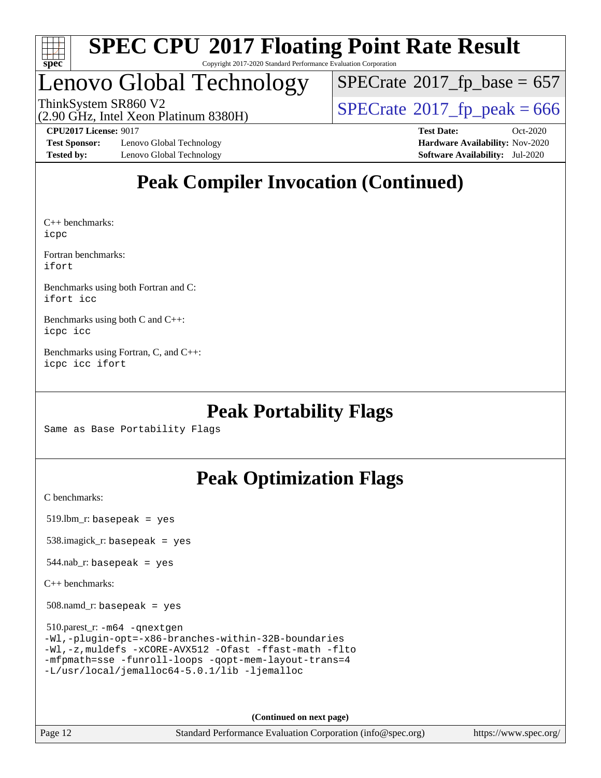

#### **[SPEC CPU](http://www.spec.org/auto/cpu2017/Docs/result-fields.html#SPECCPU2017FloatingPointRateResult)[2017 Floating Point Rate Result](http://www.spec.org/auto/cpu2017/Docs/result-fields.html#SPECCPU2017FloatingPointRateResult)** Copyright 2017-2020 Standard Performance Evaluation Corporation

### Lenovo Global Technology

 $SPECTate$ <sup>®</sup>[2017\\_fp\\_base =](http://www.spec.org/auto/cpu2017/Docs/result-fields.html#SPECrate2017fpbase) 657

(2.90 GHz, Intel Xeon Platinum 8380H) ThinkSystem SR860 V2<br>(2.90 GHz, Intel Xeon Platinum 8380H)  $SPECrate@2017_fp\_peak = 666$  $SPECrate@2017_fp\_peak = 666$ 

**[Test Sponsor:](http://www.spec.org/auto/cpu2017/Docs/result-fields.html#TestSponsor)** Lenovo Global Technology **[Hardware Availability:](http://www.spec.org/auto/cpu2017/Docs/result-fields.html#HardwareAvailability)** Nov-2020 **[Tested by:](http://www.spec.org/auto/cpu2017/Docs/result-fields.html#Testedby)** Lenovo Global Technology **[Software Availability:](http://www.spec.org/auto/cpu2017/Docs/result-fields.html#SoftwareAvailability)** Jul-2020

**[CPU2017 License:](http://www.spec.org/auto/cpu2017/Docs/result-fields.html#CPU2017License)** 9017 **[Test Date:](http://www.spec.org/auto/cpu2017/Docs/result-fields.html#TestDate)** Oct-2020

### **[Peak Compiler Invocation \(Continued\)](http://www.spec.org/auto/cpu2017/Docs/result-fields.html#PeakCompilerInvocation)**

[C++ benchmarks](http://www.spec.org/auto/cpu2017/Docs/result-fields.html#CXXbenchmarks): [icpc](http://www.spec.org/cpu2017/results/res2020q4/cpu2017-20201026-24279.flags.html#user_CXXpeak_intel_icpc_c510b6838c7f56d33e37e94d029a35b4a7bccf4766a728ee175e80a419847e808290a9b78be685c44ab727ea267ec2f070ec5dc83b407c0218cded6866a35d07)

[Fortran benchmarks:](http://www.spec.org/auto/cpu2017/Docs/result-fields.html#Fortranbenchmarks) [ifort](http://www.spec.org/cpu2017/results/res2020q4/cpu2017-20201026-24279.flags.html#user_FCpeak_intel_ifort_8111460550e3ca792625aed983ce982f94888b8b503583aa7ba2b8303487b4d8a21a13e7191a45c5fd58ff318f48f9492884d4413fa793fd88dd292cad7027ca)

[Benchmarks using both Fortran and C](http://www.spec.org/auto/cpu2017/Docs/result-fields.html#BenchmarksusingbothFortranandC): [ifort](http://www.spec.org/cpu2017/results/res2020q4/cpu2017-20201026-24279.flags.html#user_CC_FCpeak_intel_ifort_8111460550e3ca792625aed983ce982f94888b8b503583aa7ba2b8303487b4d8a21a13e7191a45c5fd58ff318f48f9492884d4413fa793fd88dd292cad7027ca) [icc](http://www.spec.org/cpu2017/results/res2020q4/cpu2017-20201026-24279.flags.html#user_CC_FCpeak_intel_icc_66fc1ee009f7361af1fbd72ca7dcefbb700085f36577c54f309893dd4ec40d12360134090235512931783d35fd58c0460139e722d5067c5574d8eaf2b3e37e92)

[Benchmarks using both C and C++:](http://www.spec.org/auto/cpu2017/Docs/result-fields.html#BenchmarksusingbothCandCXX) [icpc](http://www.spec.org/cpu2017/results/res2020q4/cpu2017-20201026-24279.flags.html#user_CC_CXXpeak_intel_icpc_c510b6838c7f56d33e37e94d029a35b4a7bccf4766a728ee175e80a419847e808290a9b78be685c44ab727ea267ec2f070ec5dc83b407c0218cded6866a35d07) [icc](http://www.spec.org/cpu2017/results/res2020q4/cpu2017-20201026-24279.flags.html#user_CC_CXXpeak_intel_icc_66fc1ee009f7361af1fbd72ca7dcefbb700085f36577c54f309893dd4ec40d12360134090235512931783d35fd58c0460139e722d5067c5574d8eaf2b3e37e92)

[Benchmarks using Fortran, C, and C++](http://www.spec.org/auto/cpu2017/Docs/result-fields.html#BenchmarksusingFortranCandCXX): [icpc](http://www.spec.org/cpu2017/results/res2020q4/cpu2017-20201026-24279.flags.html#user_CC_CXX_FCpeak_intel_icpc_c510b6838c7f56d33e37e94d029a35b4a7bccf4766a728ee175e80a419847e808290a9b78be685c44ab727ea267ec2f070ec5dc83b407c0218cded6866a35d07) [icc](http://www.spec.org/cpu2017/results/res2020q4/cpu2017-20201026-24279.flags.html#user_CC_CXX_FCpeak_intel_icc_66fc1ee009f7361af1fbd72ca7dcefbb700085f36577c54f309893dd4ec40d12360134090235512931783d35fd58c0460139e722d5067c5574d8eaf2b3e37e92) [ifort](http://www.spec.org/cpu2017/results/res2020q4/cpu2017-20201026-24279.flags.html#user_CC_CXX_FCpeak_intel_ifort_8111460550e3ca792625aed983ce982f94888b8b503583aa7ba2b8303487b4d8a21a13e7191a45c5fd58ff318f48f9492884d4413fa793fd88dd292cad7027ca)

### **[Peak Portability Flags](http://www.spec.org/auto/cpu2017/Docs/result-fields.html#PeakPortabilityFlags)**

Same as Base Portability Flags

### **[Peak Optimization Flags](http://www.spec.org/auto/cpu2017/Docs/result-fields.html#PeakOptimizationFlags)**

[C benchmarks](http://www.spec.org/auto/cpu2017/Docs/result-fields.html#Cbenchmarks):

519.lbm\_r: basepeak = yes

538.imagick\_r: basepeak = yes

 $544$ .nab\_r: basepeak = yes

[C++ benchmarks:](http://www.spec.org/auto/cpu2017/Docs/result-fields.html#CXXbenchmarks)

508.namd\_r: basepeak = yes

 510.parest\_r: [-m64](http://www.spec.org/cpu2017/results/res2020q4/cpu2017-20201026-24279.flags.html#user_peakCXXLD510_parest_r_m64-icc) [-qnextgen](http://www.spec.org/cpu2017/results/res2020q4/cpu2017-20201026-24279.flags.html#user_peakCXXLD510_parest_r_f-qnextgen) [-Wl,-plugin-opt=-x86-branches-within-32B-boundaries](http://www.spec.org/cpu2017/results/res2020q4/cpu2017-20201026-24279.flags.html#user_peakLDFLAGS510_parest_r_f-x86-branches-within-32B-boundaries_0098b4e4317ae60947b7b728078a624952a08ac37a3c797dfb4ffeb399e0c61a9dd0f2f44ce917e9361fb9076ccb15e7824594512dd315205382d84209e912f3) [-Wl,-z,muldefs](http://www.spec.org/cpu2017/results/res2020q4/cpu2017-20201026-24279.flags.html#user_peakEXTRA_LDFLAGS510_parest_r_link_force_multiple1_b4cbdb97b34bdee9ceefcfe54f4c8ea74255f0b02a4b23e853cdb0e18eb4525ac79b5a88067c842dd0ee6996c24547a27a4b99331201badda8798ef8a743f577) [-xCORE-AVX512](http://www.spec.org/cpu2017/results/res2020q4/cpu2017-20201026-24279.flags.html#user_peakCXXOPTIMIZE510_parest_r_f-xCORE-AVX512) [-Ofast](http://www.spec.org/cpu2017/results/res2020q4/cpu2017-20201026-24279.flags.html#user_peakCXXOPTIMIZE510_parest_r_f-Ofast) [-ffast-math](http://www.spec.org/cpu2017/results/res2020q4/cpu2017-20201026-24279.flags.html#user_peakCXXOPTIMIZE510_parest_r_f-ffast-math) [-flto](http://www.spec.org/cpu2017/results/res2020q4/cpu2017-20201026-24279.flags.html#user_peakCXXOPTIMIZE510_parest_r_f-flto) [-mfpmath=sse](http://www.spec.org/cpu2017/results/res2020q4/cpu2017-20201026-24279.flags.html#user_peakCXXOPTIMIZE510_parest_r_f-mfpmath_70eb8fac26bde974f8ab713bc9086c5621c0b8d2f6c86f38af0bd7062540daf19db5f3a066d8c6684be05d84c9b6322eb3b5be6619d967835195b93d6c02afa1) [-funroll-loops](http://www.spec.org/cpu2017/results/res2020q4/cpu2017-20201026-24279.flags.html#user_peakCXXOPTIMIZE510_parest_r_f-funroll-loops) [-qopt-mem-layout-trans=4](http://www.spec.org/cpu2017/results/res2020q4/cpu2017-20201026-24279.flags.html#user_peakCXXOPTIMIZE510_parest_r_f-qopt-mem-layout-trans_fa39e755916c150a61361b7846f310bcdf6f04e385ef281cadf3647acec3f0ae266d1a1d22d972a7087a248fd4e6ca390a3634700869573d231a252c784941a8) [-L/usr/local/jemalloc64-5.0.1/lib](http://www.spec.org/cpu2017/results/res2020q4/cpu2017-20201026-24279.flags.html#user_peakEXTRA_LIBS510_parest_r_jemalloc_link_path64_1_cc289568b1a6c0fd3b62c91b824c27fcb5af5e8098e6ad028160d21144ef1b8aef3170d2acf0bee98a8da324cfe4f67d0a3d0c4cc4673d993d694dc2a0df248b) [-ljemalloc](http://www.spec.org/cpu2017/results/res2020q4/cpu2017-20201026-24279.flags.html#user_peakEXTRA_LIBS510_parest_r_jemalloc_link_lib_d1249b907c500fa1c0672f44f562e3d0f79738ae9e3c4a9c376d49f265a04b9c99b167ecedbf6711b3085be911c67ff61f150a17b3472be731631ba4d0471706)

**(Continued on next page)**

Page 12 Standard Performance Evaluation Corporation [\(info@spec.org\)](mailto:info@spec.org) <https://www.spec.org/>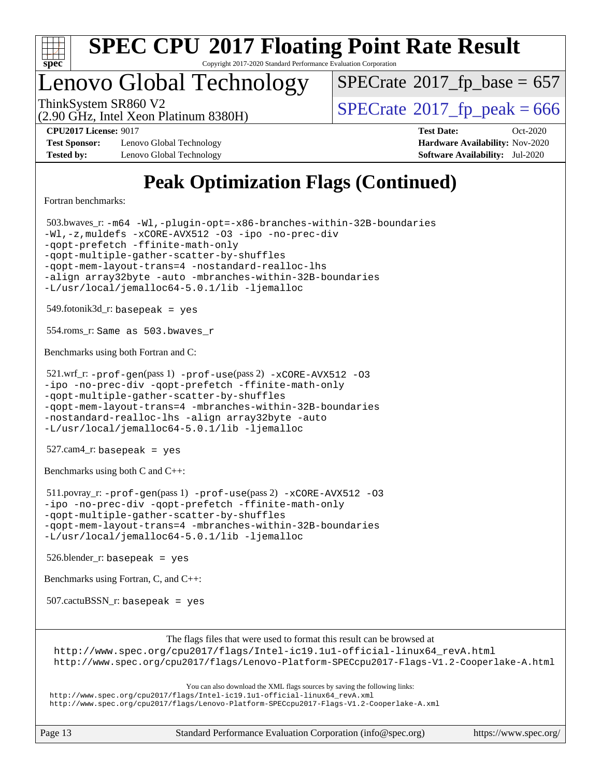

Copyright 2017-2020 Standard Performance Evaluation Corporation

### Lenovo Global Technology

ThinkSystem SR860 V2<br>(2.90 GHz, Intel Xeon Platinum 8380H)  $SPECrate@2017_fp\_peak = 666$  $SPECrate@2017_fp\_peak = 666$  $SPECTate$ <sup>®</sup>[2017\\_fp\\_base =](http://www.spec.org/auto/cpu2017/Docs/result-fields.html#SPECrate2017fpbase) 657

(2.90 GHz, Intel Xeon Platinum 8380H)

**[Test Sponsor:](http://www.spec.org/auto/cpu2017/Docs/result-fields.html#TestSponsor)** Lenovo Global Technology **[Hardware Availability:](http://www.spec.org/auto/cpu2017/Docs/result-fields.html#HardwareAvailability)** Nov-2020 **[Tested by:](http://www.spec.org/auto/cpu2017/Docs/result-fields.html#Testedby)** Lenovo Global Technology **[Software Availability:](http://www.spec.org/auto/cpu2017/Docs/result-fields.html#SoftwareAvailability)** Jul-2020

**[CPU2017 License:](http://www.spec.org/auto/cpu2017/Docs/result-fields.html#CPU2017License)** 9017 **[Test Date:](http://www.spec.org/auto/cpu2017/Docs/result-fields.html#TestDate)** Oct-2020

### **[Peak Optimization Flags \(Continued\)](http://www.spec.org/auto/cpu2017/Docs/result-fields.html#PeakOptimizationFlags)**

[Fortran benchmarks](http://www.spec.org/auto/cpu2017/Docs/result-fields.html#Fortranbenchmarks):

 503.bwaves\_r: [-m64](http://www.spec.org/cpu2017/results/res2020q4/cpu2017-20201026-24279.flags.html#user_peakFCLD503_bwaves_r_m64-icc) [-Wl,-plugin-opt=-x86-branches-within-32B-boundaries](http://www.spec.org/cpu2017/results/res2020q4/cpu2017-20201026-24279.flags.html#user_peakLDFLAGS503_bwaves_r_f-x86-branches-within-32B-boundaries_0098b4e4317ae60947b7b728078a624952a08ac37a3c797dfb4ffeb399e0c61a9dd0f2f44ce917e9361fb9076ccb15e7824594512dd315205382d84209e912f3) [-Wl,-z,muldefs](http://www.spec.org/cpu2017/results/res2020q4/cpu2017-20201026-24279.flags.html#user_peakEXTRA_LDFLAGS503_bwaves_r_link_force_multiple1_b4cbdb97b34bdee9ceefcfe54f4c8ea74255f0b02a4b23e853cdb0e18eb4525ac79b5a88067c842dd0ee6996c24547a27a4b99331201badda8798ef8a743f577) [-xCORE-AVX512](http://www.spec.org/cpu2017/results/res2020q4/cpu2017-20201026-24279.flags.html#user_peakFOPTIMIZE503_bwaves_r_f-xCORE-AVX512) [-O3](http://www.spec.org/cpu2017/results/res2020q4/cpu2017-20201026-24279.flags.html#user_peakFOPTIMIZE503_bwaves_r_f-O3) [-ipo](http://www.spec.org/cpu2017/results/res2020q4/cpu2017-20201026-24279.flags.html#user_peakFOPTIMIZE503_bwaves_r_f-ipo) [-no-prec-div](http://www.spec.org/cpu2017/results/res2020q4/cpu2017-20201026-24279.flags.html#user_peakFOPTIMIZE503_bwaves_r_f-no-prec-div) [-qopt-prefetch](http://www.spec.org/cpu2017/results/res2020q4/cpu2017-20201026-24279.flags.html#user_peakFOPTIMIZE503_bwaves_r_f-qopt-prefetch) [-ffinite-math-only](http://www.spec.org/cpu2017/results/res2020q4/cpu2017-20201026-24279.flags.html#user_peakFOPTIMIZE503_bwaves_r_f_finite_math_only_cb91587bd2077682c4b38af759c288ed7c732db004271a9512da14a4f8007909a5f1427ecbf1a0fb78ff2a814402c6114ac565ca162485bbcae155b5e4258871) [-qopt-multiple-gather-scatter-by-shuffles](http://www.spec.org/cpu2017/results/res2020q4/cpu2017-20201026-24279.flags.html#user_peakFOPTIMIZE503_bwaves_r_f-qopt-multiple-gather-scatter-by-shuffles) [-qopt-mem-layout-trans=4](http://www.spec.org/cpu2017/results/res2020q4/cpu2017-20201026-24279.flags.html#user_peakFOPTIMIZE503_bwaves_r_f-qopt-mem-layout-trans_fa39e755916c150a61361b7846f310bcdf6f04e385ef281cadf3647acec3f0ae266d1a1d22d972a7087a248fd4e6ca390a3634700869573d231a252c784941a8) [-nostandard-realloc-lhs](http://www.spec.org/cpu2017/results/res2020q4/cpu2017-20201026-24279.flags.html#user_peakEXTRA_FOPTIMIZE503_bwaves_r_f_2003_std_realloc_82b4557e90729c0f113870c07e44d33d6f5a304b4f63d4c15d2d0f1fab99f5daaed73bdb9275d9ae411527f28b936061aa8b9c8f2d63842963b95c9dd6426b8a) [-align array32byte](http://www.spec.org/cpu2017/results/res2020q4/cpu2017-20201026-24279.flags.html#user_peakEXTRA_FOPTIMIZE503_bwaves_r_align_array32byte_b982fe038af199962ba9a80c053b8342c548c85b40b8e86eb3cc33dee0d7986a4af373ac2d51c3f7cf710a18d62fdce2948f201cd044323541f22fc0fffc51b6) [-auto](http://www.spec.org/cpu2017/results/res2020q4/cpu2017-20201026-24279.flags.html#user_peakEXTRA_FOPTIMIZE503_bwaves_r_f-auto) [-mbranches-within-32B-boundaries](http://www.spec.org/cpu2017/results/res2020q4/cpu2017-20201026-24279.flags.html#user_peakEXTRA_FOPTIMIZE503_bwaves_r_f-mbranches-within-32B-boundaries) [-L/usr/local/jemalloc64-5.0.1/lib](http://www.spec.org/cpu2017/results/res2020q4/cpu2017-20201026-24279.flags.html#user_peakEXTRA_LIBS503_bwaves_r_jemalloc_link_path64_1_cc289568b1a6c0fd3b62c91b824c27fcb5af5e8098e6ad028160d21144ef1b8aef3170d2acf0bee98a8da324cfe4f67d0a3d0c4cc4673d993d694dc2a0df248b) [-ljemalloc](http://www.spec.org/cpu2017/results/res2020q4/cpu2017-20201026-24279.flags.html#user_peakEXTRA_LIBS503_bwaves_r_jemalloc_link_lib_d1249b907c500fa1c0672f44f562e3d0f79738ae9e3c4a9c376d49f265a04b9c99b167ecedbf6711b3085be911c67ff61f150a17b3472be731631ba4d0471706) 549.fotonik3d\_r: basepeak = yes 554.roms\_r: Same as 503.bwaves\_r [Benchmarks using both Fortran and C](http://www.spec.org/auto/cpu2017/Docs/result-fields.html#BenchmarksusingbothFortranandC): 521.wrf\_r: [-prof-gen](http://www.spec.org/cpu2017/results/res2020q4/cpu2017-20201026-24279.flags.html#user_peakPASS1_CFLAGSPASS1_FFLAGSPASS1_LDFLAGS521_wrf_r_prof_gen_5aa4926d6013ddb2a31985c654b3eb18169fc0c6952a63635c234f711e6e63dd76e94ad52365559451ec499a2cdb89e4dc58ba4c67ef54ca681ffbe1461d6b36)(pass 1) [-prof-use](http://www.spec.org/cpu2017/results/res2020q4/cpu2017-20201026-24279.flags.html#user_peakPASS2_CFLAGSPASS2_FFLAGSPASS2_LDFLAGS521_wrf_r_prof_use_1a21ceae95f36a2b53c25747139a6c16ca95bd9def2a207b4f0849963b97e94f5260e30a0c64f4bb623698870e679ca08317ef8150905d41bd88c6f78df73f19)(pass 2) [-xCORE-AVX512](http://www.spec.org/cpu2017/results/res2020q4/cpu2017-20201026-24279.flags.html#user_peakCOPTIMIZEPASS2_COPTIMIZEPASS2_FOPTIMIZE521_wrf_r_f-xCORE-AVX512) [-O3](http://www.spec.org/cpu2017/results/res2020q4/cpu2017-20201026-24279.flags.html#user_peakCOPTIMIZEPASS1_COPTIMIZEPASS1_FOPTIMIZEPASS2_COPTIMIZEPASS2_FOPTIMIZE521_wrf_r_f-O3) [-ipo](http://www.spec.org/cpu2017/results/res2020q4/cpu2017-20201026-24279.flags.html#user_peakCOPTIMIZEPASS1_COPTIMIZEPASS1_FOPTIMIZEPASS2_COPTIMIZEPASS2_FOPTIMIZE521_wrf_r_f-ipo) [-no-prec-div](http://www.spec.org/cpu2017/results/res2020q4/cpu2017-20201026-24279.flags.html#user_peakCOPTIMIZEPASS1_COPTIMIZEPASS1_FOPTIMIZEPASS2_COPTIMIZEPASS2_FOPTIMIZE521_wrf_r_f-no-prec-div) [-qopt-prefetch](http://www.spec.org/cpu2017/results/res2020q4/cpu2017-20201026-24279.flags.html#user_peakCOPTIMIZEPASS1_COPTIMIZEPASS1_FOPTIMIZEPASS2_COPTIMIZEPASS2_FOPTIMIZE521_wrf_r_f-qopt-prefetch) [-ffinite-math-only](http://www.spec.org/cpu2017/results/res2020q4/cpu2017-20201026-24279.flags.html#user_peakCOPTIMIZEPASS1_COPTIMIZEPASS1_FOPTIMIZEPASS2_COPTIMIZEPASS2_FOPTIMIZE521_wrf_r_f_finite_math_only_cb91587bd2077682c4b38af759c288ed7c732db004271a9512da14a4f8007909a5f1427ecbf1a0fb78ff2a814402c6114ac565ca162485bbcae155b5e4258871) [-qopt-multiple-gather-scatter-by-shuffles](http://www.spec.org/cpu2017/results/res2020q4/cpu2017-20201026-24279.flags.html#user_peakCOPTIMIZEPASS1_COPTIMIZEPASS1_FOPTIMIZEPASS2_COPTIMIZEPASS2_FOPTIMIZE521_wrf_r_f-qopt-multiple-gather-scatter-by-shuffles) [-qopt-mem-layout-trans=4](http://www.spec.org/cpu2017/results/res2020q4/cpu2017-20201026-24279.flags.html#user_peakCOPTIMIZEFOPTIMIZEPASS1_COPTIMIZEPASS1_FOPTIMIZEPASS2_COPTIMIZEPASS2_FOPTIMIZE521_wrf_r_f-qopt-mem-layout-trans_fa39e755916c150a61361b7846f310bcdf6f04e385ef281cadf3647acec3f0ae266d1a1d22d972a7087a248fd4e6ca390a3634700869573d231a252c784941a8) [-mbranches-within-32B-boundaries](http://www.spec.org/cpu2017/results/res2020q4/cpu2017-20201026-24279.flags.html#user_peakEXTRA_COPTIMIZEEXTRA_FOPTIMIZE521_wrf_r_f-mbranches-within-32B-boundaries) [-nostandard-realloc-lhs](http://www.spec.org/cpu2017/results/res2020q4/cpu2017-20201026-24279.flags.html#user_peakEXTRA_FOPTIMIZE521_wrf_r_f_2003_std_realloc_82b4557e90729c0f113870c07e44d33d6f5a304b4f63d4c15d2d0f1fab99f5daaed73bdb9275d9ae411527f28b936061aa8b9c8f2d63842963b95c9dd6426b8a) [-align array32byte](http://www.spec.org/cpu2017/results/res2020q4/cpu2017-20201026-24279.flags.html#user_peakEXTRA_FOPTIMIZE521_wrf_r_align_array32byte_b982fe038af199962ba9a80c053b8342c548c85b40b8e86eb3cc33dee0d7986a4af373ac2d51c3f7cf710a18d62fdce2948f201cd044323541f22fc0fffc51b6) [-auto](http://www.spec.org/cpu2017/results/res2020q4/cpu2017-20201026-24279.flags.html#user_peakEXTRA_FOPTIMIZE521_wrf_r_f-auto) [-L/usr/local/jemalloc64-5.0.1/lib](http://www.spec.org/cpu2017/results/res2020q4/cpu2017-20201026-24279.flags.html#user_peakEXTRA_LIBS521_wrf_r_jemalloc_link_path64_1_cc289568b1a6c0fd3b62c91b824c27fcb5af5e8098e6ad028160d21144ef1b8aef3170d2acf0bee98a8da324cfe4f67d0a3d0c4cc4673d993d694dc2a0df248b) [-ljemalloc](http://www.spec.org/cpu2017/results/res2020q4/cpu2017-20201026-24279.flags.html#user_peakEXTRA_LIBS521_wrf_r_jemalloc_link_lib_d1249b907c500fa1c0672f44f562e3d0f79738ae9e3c4a9c376d49f265a04b9c99b167ecedbf6711b3085be911c67ff61f150a17b3472be731631ba4d0471706) 527.cam4\_r: basepeak = yes [Benchmarks using both C and C++](http://www.spec.org/auto/cpu2017/Docs/result-fields.html#BenchmarksusingbothCandCXX): 511.povray\_r: [-prof-gen](http://www.spec.org/cpu2017/results/res2020q4/cpu2017-20201026-24279.flags.html#user_peakPASS1_CFLAGSPASS1_CXXFLAGSPASS1_LDFLAGS511_povray_r_prof_gen_5aa4926d6013ddb2a31985c654b3eb18169fc0c6952a63635c234f711e6e63dd76e94ad52365559451ec499a2cdb89e4dc58ba4c67ef54ca681ffbe1461d6b36)(pass 1) [-prof-use](http://www.spec.org/cpu2017/results/res2020q4/cpu2017-20201026-24279.flags.html#user_peakPASS2_CFLAGSPASS2_CXXFLAGSPASS2_LDFLAGS511_povray_r_prof_use_1a21ceae95f36a2b53c25747139a6c16ca95bd9def2a207b4f0849963b97e94f5260e30a0c64f4bb623698870e679ca08317ef8150905d41bd88c6f78df73f19)(pass 2) [-xCORE-AVX512](http://www.spec.org/cpu2017/results/res2020q4/cpu2017-20201026-24279.flags.html#user_peakCOPTIMIZECXXOPTIMIZEPASS2_COPTIMIZEPASS2_CXXOPTIMIZE511_povray_r_f-xCORE-AVX512) [-O3](http://www.spec.org/cpu2017/results/res2020q4/cpu2017-20201026-24279.flags.html#user_peakCOPTIMIZECXXOPTIMIZEPASS1_COPTIMIZEPASS1_CXXOPTIMIZEPASS2_COPTIMIZEPASS2_CXXOPTIMIZE511_povray_r_f-O3) [-ipo](http://www.spec.org/cpu2017/results/res2020q4/cpu2017-20201026-24279.flags.html#user_peakCOPTIMIZECXXOPTIMIZEPASS1_COPTIMIZEPASS1_CXXOPTIMIZEPASS2_COPTIMIZEPASS2_CXXOPTIMIZE511_povray_r_f-ipo) [-no-prec-div](http://www.spec.org/cpu2017/results/res2020q4/cpu2017-20201026-24279.flags.html#user_peakCOPTIMIZECXXOPTIMIZEPASS1_COPTIMIZEPASS1_CXXOPTIMIZEPASS2_COPTIMIZEPASS2_CXXOPTIMIZE511_povray_r_f-no-prec-div) [-qopt-prefetch](http://www.spec.org/cpu2017/results/res2020q4/cpu2017-20201026-24279.flags.html#user_peakCOPTIMIZECXXOPTIMIZEPASS1_COPTIMIZEPASS1_CXXOPTIMIZEPASS2_COPTIMIZEPASS2_CXXOPTIMIZE511_povray_r_f-qopt-prefetch) [-ffinite-math-only](http://www.spec.org/cpu2017/results/res2020q4/cpu2017-20201026-24279.flags.html#user_peakCOPTIMIZECXXOPTIMIZEPASS1_COPTIMIZEPASS1_CXXOPTIMIZEPASS2_COPTIMIZEPASS2_CXXOPTIMIZE511_povray_r_f_finite_math_only_cb91587bd2077682c4b38af759c288ed7c732db004271a9512da14a4f8007909a5f1427ecbf1a0fb78ff2a814402c6114ac565ca162485bbcae155b5e4258871) [-qopt-multiple-gather-scatter-by-shuffles](http://www.spec.org/cpu2017/results/res2020q4/cpu2017-20201026-24279.flags.html#user_peakCOPTIMIZECXXOPTIMIZEPASS1_COPTIMIZEPASS1_CXXOPTIMIZEPASS2_COPTIMIZEPASS2_CXXOPTIMIZE511_povray_r_f-qopt-multiple-gather-scatter-by-shuffles) [-qopt-mem-layout-trans=4](http://www.spec.org/cpu2017/results/res2020q4/cpu2017-20201026-24279.flags.html#user_peakCOPTIMIZECXXOPTIMIZEPASS1_COPTIMIZEPASS1_CXXOPTIMIZEPASS2_COPTIMIZEPASS2_CXXOPTIMIZE511_povray_r_f-qopt-mem-layout-trans_fa39e755916c150a61361b7846f310bcdf6f04e385ef281cadf3647acec3f0ae266d1a1d22d972a7087a248fd4e6ca390a3634700869573d231a252c784941a8) [-mbranches-within-32B-boundaries](http://www.spec.org/cpu2017/results/res2020q4/cpu2017-20201026-24279.flags.html#user_peakEXTRA_COPTIMIZEEXTRA_CXXOPTIMIZE511_povray_r_f-mbranches-within-32B-boundaries) [-L/usr/local/jemalloc64-5.0.1/lib](http://www.spec.org/cpu2017/results/res2020q4/cpu2017-20201026-24279.flags.html#user_peakEXTRA_LIBS511_povray_r_jemalloc_link_path64_1_cc289568b1a6c0fd3b62c91b824c27fcb5af5e8098e6ad028160d21144ef1b8aef3170d2acf0bee98a8da324cfe4f67d0a3d0c4cc4673d993d694dc2a0df248b) [-ljemalloc](http://www.spec.org/cpu2017/results/res2020q4/cpu2017-20201026-24279.flags.html#user_peakEXTRA_LIBS511_povray_r_jemalloc_link_lib_d1249b907c500fa1c0672f44f562e3d0f79738ae9e3c4a9c376d49f265a04b9c99b167ecedbf6711b3085be911c67ff61f150a17b3472be731631ba4d0471706) 526.blender\_r: basepeak = yes [Benchmarks using Fortran, C, and C++:](http://www.spec.org/auto/cpu2017/Docs/result-fields.html#BenchmarksusingFortranCandCXX) 507.cactuBSSN\_r: basepeak = yes [The flags files that were used to format this result can be browsed at](tmsearch) [http://www.spec.org/cpu2017/flags/Intel-ic19.1u1-official-linux64\\_revA.html](http://www.spec.org/cpu2017/flags/Intel-ic19.1u1-official-linux64_revA.html) <http://www.spec.org/cpu2017/flags/Lenovo-Platform-SPECcpu2017-Flags-V1.2-Cooperlake-A.html> [You can also download the XML flags sources by saving the following links:](tmsearch) [http://www.spec.org/cpu2017/flags/Intel-ic19.1u1-official-linux64\\_revA.xml](http://www.spec.org/cpu2017/flags/Intel-ic19.1u1-official-linux64_revA.xml) <http://www.spec.org/cpu2017/flags/Lenovo-Platform-SPECcpu2017-Flags-V1.2-Cooperlake-A.xml>